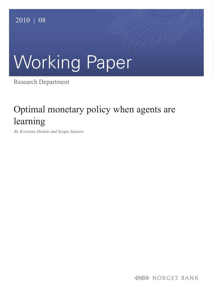# Working Paper

Research Department

## Optimal monetary policy when agents are learning

*By Krisztina Molnár and Sergio Santoro*

*&NB& NORGES BANK*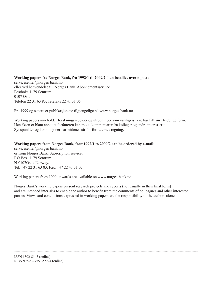#### **Working papers fra Norges Bank, fra 1992/1 til 2009/2 kan bestilles over e-post:** servicesenter@norges-bank.no eller ved henvendelse til: Norges Bank, Abonnementsservice Postboks 1179 Sentrum 0107 Oslo Telefon 22 31 63 83, Telefaks 22 41 31 05

Fra 1999 og senere er publikasjonene tilgjengelige på www.norges-bank.no

Working papers inneholder forskningsarbeider og utredninger som vanligvis ikke har fått sin e4ndelige form. Hensikten er blant annet at forfatteren kan motta kommentarer fra kolleger og andre interesserte. Synspunkter og konklusjoner i arbeidene står for forfatternes regning.

#### **Working papers from Norges Bank, from1992/1 to 2009/2 can be ordered by e-mail:**

servicesenter@norges-bank.no or from Norges Bank, Subscription service, P.O.Box. 1179 Sentrum N-0107Oslo, Norway. Tel. +47 22 31 63 83, Fax. +47 22 41 31 05

Working papers from 1999 onwards are available on www.norges-bank.no

Norges Bank's working papers present research projects and reports (not usually in their final form) and are intended inter alia to enable the author to benefit from the comments of colleagues and other interested parties. Views and conclusions expressed in working papers are the responsibility of the authors alone.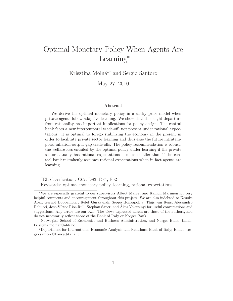## Optimal Monetary Policy When Agents Are Learning<sup>∗</sup>

Krisztina Molnár<sup>†</sup> and Sergio Santoro<sup>‡</sup>

May 27, 2010

#### Abstract

We derive the optimal monetary policy in a sticky price model when private agents follow adaptive learning. We show that this slight departure from rationality has important implications for policy design. The central bank faces a new intertemporal trade-off, not present under rational expectations: it is optimal to forego stabilizing the economy in the present in order to facilitate private sector learning and thus ease the future intratemporal inflation-output gap trade-offs. The policy recommendation is robust: the welfare loss entailed by the optimal policy under learning if the private sector actually has rational expectations is much smaller than if the central bank mistakenly assumes rational expectations when in fact agents are learning.

JEL classification: C62, D83, D84, E52 Keywords: optimal monetary policy, learning, rational expectations

<sup>∗</sup>We are especially grateful to our supervisors Albert Marcet and Ramon Marimon for very helpful comments and encouragement throughout this project. We are also indebted to Kosuke Aoki, Gernot Doppelhofer, Refet Gurkaynak, Seppo Honkapohja, Thijs van Rens, Alessandro Rebucci, José-Víctor Ríos-Rull, Stephan Sauer, and Ákos Valentinyi for useful conversations and suggestions. Any errors are our own. The views expressed herein are those of the authors, and do not necessarily reflect those of the Bank of Italy or Norges Bank.

<sup>†</sup>Norwegian School of Economics and Business Administration, and Norges Bank; Email: krisztina.molnar@nhh.no

<sup>‡</sup>Department for International Economic Analysis and Relations, Bank of Italy; Email: sergio.santoro@bancaditalia.it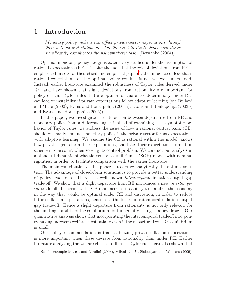#### <span id="page-3-1"></span>1 Introduction

Monetary policy makers can affect private-sector expectations through their actions and statements, but the need to think about such things significantly complicates the policymakers' task. (Bernanke (2004))

Optimal monetary policy design is extensively studied under the assumption of rational expectations (RE). Despite the fact that the role of deviations from RE is emphasized in several theoretical and empirical papers<sup>[1](#page-3-0)</sup>, the influence of less-thanrational expectations on the optimal policy conduct is not yet well understood. Instead, earlier literature examined the robustness of Taylor rules derived under RE, and have shown that slight deviations from rationality are important for policy design. Taylor rules that are optimal or guarantee determinacy under RE, can lead to instability if private expectations follow adaptive learning (see Bullard and Mitra (2002), Evans and Honkapohja (2003a), Evans and Honkapohja (2003b) and Evans and Honkapohja (2006)).

In this paper, we investigate the interaction between departures from RE and monetary policy from a different angle: instead of examining the asymptotic behavior of Taylor rules, we address the issue of how a rational central bank (CB) should optimally conduct monetary policy if the private sector forms expectations with adaptive learning. We assume the CB is rational within the model, knows how private agents form their expectations, and takes their expectations formation scheme into account when solving its control problem. We conduct our analysis in a standard dynamic stochastic general equilibrium (DSGE) model with nominal rigidities, in order to facilitate comparison with the earlier literature.

The main contribution of this paper is to derive analytically the optimal solution. The advantage of closed-form solutions is to provide a better understanding of policy trade-offs. There is a well known intratemporal inflation-output gap trade-off. We show that a slight departure from RE introduces a new intertemporal trade-off. In period t the CB renounces to its ability to stabilize the economy in the way that would be optimal under RE and discretion, in order to reduce future inflation expectations, hence ease the future intratemporal inflation-output gap trade-off. Hence a slight departure from rationality is not only relevant for the limiting stability of the equilibrium, but inherently changes policy design. Our quantitative analysis shows that incorporating the intertemporal tradeoff into policymaking increases welfare substantially even if the departure from RE equilibrium is small.

Our policy recommendation is that stabilizing private inflation expectations is more important when these deviate from rationality than under RE. Earlier literature analyzing the welfare effect of different Taylor rules have also shown that

<span id="page-3-0"></span><sup>1</sup>See for example Marcet and Nicolini (2003), Milani (2007), Slobodyan and Wouters (2009).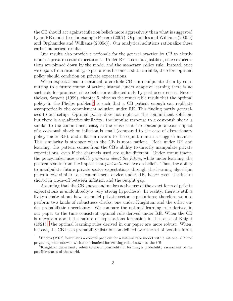the CB should act against inflation beliefs more aggressively than what is suggested by an RE model (see for example Ferrero (2007), Orphanides and Williams (2005b) and Orphanides and Williams (2005c)). Our analytical solutions rationalize these earlier numerical results.

Our results also provide a rationale for the general practice by CB to closely monitor private sector expectations. Under RE this is not justified, since expectations are pinned down by the model and the monetary policy rule. Instead, once we depart from rationality, expectations become a state variable, therefore optimal policy should condition on private expectations.

When expectations are rational, a credible CB can manipulate them by committing to a future course of action; instead, under adaptive learning there is no such role for promises, since beliefs are affected only by past occurrences. Nevertheless, Sargent (1999), chapter 5, obtains the remarkable result that the optimal policy in the Phelps problem<sup>[2](#page-4-0)</sup> is such that a CB patient enough can replicate asymptotically the commitment solution under RE. This finding partly generalizes to our setup. Optimal policy does not replicate the commitment solution, but there is a qualitative similarity: the impulse response to a cost-push shock is similar to the commitment case, in the sense that the contemporaneous impact of a cost-push shock on inflation is small (compared to the case of discretionary policy under RE), and inflation reverts to the equilibrium in a sluggish manner. This similarity is stronger when the CB is more patient. Both under RE and learning, this pattern comes from the CB's ability to directly manipulate private expectations, even if the channels used are quite different. Under commitment, the policymaker uses credible promises about the future, while under learning, the pattern results from the impact that past actions have on beliefs. Thus, the ability to manipulate future private sector expectations through the learning algorithm plays a role similar to a commitment device under RE, hence eases the future short-run trade-off between inflation and the output gap.

Assuming that the CB knows and makes active use of the exact form of private expectations is undoubtedly a very strong hypothesis. In reality, there is still a lively debate about how to model private sector expectations; therefore we also perform two kinds of robustness checks, one under Knightian and the other under probabilistic uncertainty. We compare the optimal learning rule derived in our paper to the time consistent optimal rule derived under RE. When the CB is uncertain about the nature of expectations formation in the sense of Knight  $(1921),<sup>3</sup>$  $(1921),<sup>3</sup>$  $(1921),<sup>3</sup>$  the optimal learning rules derived in our paper are more robust. When, instead, the CB has a probability distribution defined over the set of possible forms

<span id="page-4-0"></span><sup>2</sup>Phelps (1967) formulates a control problem for a natural rate model with a rational CB and private agents endowed with a mechanical forecasting rule, known to the CB.

<span id="page-4-1"></span><sup>3</sup>Knightian uncertainty refers to the impossibility of forming a probability assessment of the possible states of the world.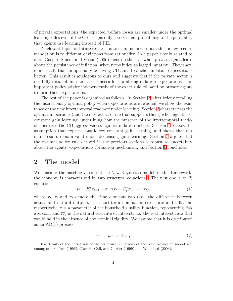of private expectations, the expected welfare losses are smaller under the optimal learning rules even if the CB assigns only a very small probability to the possibility that agents use learning instead of RE.

A relevant topic for future research is to examine how robust this policy recommendation is to different deviations from rationality. In a paper closely related to ours, Gaspar, Smets, and Vestin (2006) focus on the case when private agents learn about the persistence of inflation, when firms index to lagged inflation. They show numerically that an optimally behaving CB aims to anchor inflation expectations better. This result is analogous to ours and suggests that if the private sector is not fully rational, an increased concern for stabilizing inflation expectations is an important policy advice independently of the exact rule followed by private agents to form their expectations.

The rest of the paper is organized as follows. In Section [2,](#page-3-1) after briefly recalling the discretionary optimal policy when expectations are rational, we show the existence of the new intertemporal trade-off under learning. Section [3](#page-9-0) characterizes the optimal allocations (and the interest rate rule that supports them) when agents use constant gain learning, underlining how the presence of the intertemporal tradeoff increases the CB aggressiveness against inflation beliefs. Section [4](#page-16-0) relaxes the assumption that expectations follow constant gain learning, and shows that our main results remain valid under decreasing gain learning. Section [5](#page-19-0) argues that the optimal policy rule derived in the previous sections is robust to uncertainty about the agents' expectations formation mechanism, and Section [6](#page-25-0) concludes.

#### 2 The model

We consider the baseline version of the New Keynesian model; in this framework, the economy is characterized by two structural equations.[4](#page-5-0) The first one is an IS equation:

$$
x_t = E_t^* x_{t+1} - \sigma^{-1} (r_t - E_t^* \pi_{t+1} - \overline{rr}_t), \tag{1}
$$

where  $x_t$ ,  $r_t$  and  $\pi_t$  denote the time t output gap (i.e. the difference between actual and natural output), the short-term nominal interest rate and inflation, respectively.  $\sigma$  is a parameter of the household's utility function, representing risk aversion, and  $\overline{rr}_t$  is the natural real rate of interest, i.e. the real interest rate that would hold in the absence of any nominal rigidity. We assume that it is distributed as an  $AR(1)$  process:

$$
\overline{rr}_t = \rho \overline{rr}_{t-1} + \varepsilon_t,\tag{2}
$$

<span id="page-5-0"></span><sup>4</sup>For details of the derivation of the structural equations of the New Keynesian model see, among others, Yun (1996), Clarida, Gali, and Gertler (1999) and Woodford (2003).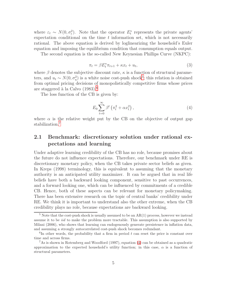where  $\varepsilon_t \sim N(0, \sigma_{\varepsilon}^2)$ . Note that the operator  $E_t^*$  represents the private agents' expectation conditional on the time  $t$  information set, which is not necessarily rational. The above equation is derived by loglinearizing the household's Euler equation and imposing the equilibrium condition that consumption equals output.

The second equation is the so-called New Keynesian Phillips Curve (NKPC):

$$
\pi_t = \beta E_t^* \pi_{t+1} + \kappa x_t + u_t,\tag{3}
$$

where  $\beta$  denotes the subjective discount rate,  $\kappa$  is a function of structural parameters, and  $u_t \sim N(0, \sigma_u^2)$  is a white noise cost-push shock<sup>[5](#page-6-0)</sup>; this relation is obtained from optimal pricing decisions of monopolistically competitive firms whose prices are staggered à la Calvo  $(1983).<sup>6</sup>$  $(1983).<sup>6</sup>$  $(1983).<sup>6</sup>$ 

The loss function of the CB is given by:

$$
E_0 \sum_{t=0}^{\infty} \beta^t \left( \pi_t^2 + \alpha x_t^2 \right), \tag{4}
$$

where  $\alpha$  is the relative weight put by the CB on the objective of output gap stabilization.[7](#page-6-2)

#### 2.1 Benchmark: discretionary solution under rational expectations and learning

Under adaptive learning credibility of the CB has no role, because promises about the future do not influence expectations. Therefore, our benchmark under RE is discretionary monetary policy, when the CB takes private sector beliefs as given. In Kreps (1998) terminology, this is equivalent to assuming that the monetary authority is an anticipated utility maximizer. It can be argued that in real life beliefs have both a backward looking component, sensitive to past occurrences, and a forward looking one, which can be influenced by commitments of a credible CB. Hence, both of these aspects can be relevant for monetary policymaking. There has been extensive research on the topic of central banks' credibility under RE. We think it is important to understand also the other extreme, when the CB credibility plays no role, because expectations are backward looking.

<span id="page-6-0"></span> $5$  Note that the cost-push shock is usually assumed to be an  $AR(1)$  process, however we instead assume it to be *iid* to make the problem more tractable. This assumption is also supported by Milani (2006), who shows that learning can endogenously generate persistence in inflation data, and assuming a strongly autocorrelated cost-push shock becomes redundant.

<span id="page-6-1"></span> ${}^{6}$ In other words, the probability that a firm in period t can reset the price is constant over time and across firms.

<span id="page-6-2"></span><sup>7</sup>As is shown in Rotemberg and Woodford (1997), equation [\(4\)](#page-3-1) can be obtained as a quadratic approximation to the expected household's utility function; in this case,  $\alpha$  is a function of structural parameters.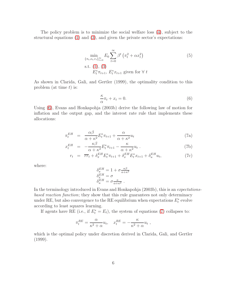The policy problem is to minimize the social welfare loss [\(4\)](#page-3-1), subject to the structural equations [\(1\)](#page-3-1) and [\(3\)](#page-3-1), and given the private sector's expectations:

<span id="page-7-0"></span>
$$
\min_{\{\pi_t, x_t, r_t\}_{t=0}^{\infty}} E_0 \sum_{t=0}^{\infty} \beta^t \left(\pi_t^2 + \alpha x_t^2\right)
$$
\n
$$
\text{s.t.} \quad (1), \ (3)
$$
\n
$$
E_t^* \pi_{t+1}, \ E_t^* x_{t+1} \text{ given for } \forall \ t
$$
\n
$$
(5)
$$

As shown in Clarida, Gali, and Gertler (1999), the optimality condition to this problem (at time  $t$ ) is:

$$
\frac{\kappa}{\alpha}\pi_t + x_t = 0.\tag{6}
$$

Using [\(6\)](#page-7-0), Evans and Honkapohja (2003b) derive the following law of motion for inflation and the output gap, and the interest rate rule that implements these allocations:

<span id="page-7-1"></span>
$$
\pi_t^{EH} = \frac{\alpha \beta}{\alpha + \kappa^2} E_t^* \pi_{t+1} + \frac{\alpha}{\alpha + \kappa^2} u_t \tag{7a}
$$

$$
x_t^{EH} = -\frac{\kappa \beta}{\alpha + \kappa^2} E_t^* \pi_{t+1} - \frac{\kappa}{\alpha + \kappa^2} u_t \ . \tag{7b}
$$

$$
r_t = \overline{rr}_t + \delta_{\pi}^{EH} E_t^* \pi_{t+1} + \delta_x^{EH} E_t^* x_{t+1} + \delta_u^{EH} u_t, \tag{7c}
$$

where:

$$
\delta_{\pi}^{EH} = 1 + \sigma \frac{\kappa \beta}{\alpha + \kappa^2}
$$

$$
\delta_{x}^{EH} = \sigma
$$

$$
\delta_{u}^{EH} = \sigma \frac{\kappa}{\alpha + \kappa^2}.
$$

In the terminology introduced in Evans and Honkapohja (2003b), this is an expectationsbased reaction function; they show that this rule guarantees not only determinacy under RE, but also convergence to the RE equilibrium when expectations  $E_t^*$  evolve according to least squares learning.

If agents have RE (i.e., if  $E_t^* = E_t$ ), the system of equations [\(7\)](#page-7-0) collapses to:

$$
\pi_t^{RE} = \frac{\alpha}{\kappa^2 + \alpha} u_t, \quad x_t^{RE} = -\frac{\kappa}{\kappa^2 + \alpha} u_t,
$$

which is the optimal policy under discretion derived in Clarida, Gali, and Gertler (1999).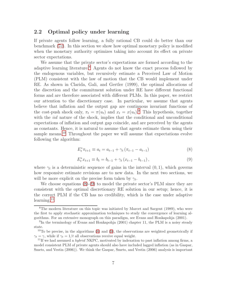#### 2.2 Optimal policy under learning

If private agents follow learning, a fully rational CB could do better than our benchmark [\(7c\)](#page-7-1). In this section we show how optimal monetary policy is modified when the monetary authority optimizes taking into account its effect on private sector expectations.

We assume that the private sector's expectations are formed according to the adaptive learning literature.[8](#page-8-0) Agents do not know the exact process followed by the endogenous variables, but recursively estimate a Perceived Law of Motion (PLM) consistent with the law of motion that the CB would implement under RE. As shown in Clarida, Gali, and Gertler (1999), the optimal allocations of the discretion and the commitment solution under RE have different functional forms and are therefore associated with different PLMs. In this paper, we restrict our attention to the discretionary case. In particular, we assume that agents believe that inflation and the output gap are continuous invariant functions of the cost-push shock only,  $\pi_t = \pi(u_t)$  and  $x_t = x(u_t)$ .<sup>[9](#page-8-1)</sup> This hypothesis, together with the *iid* nature of the shock, implies that the conditional and unconditional expectations of inflation and output gap coincide, and are perceived by the agents as constants. Hence, it is natural to assume that agents estimate them using their sample means.<sup>[10](#page-8-2)</sup> Throughout the paper we will assume that expectations evolve following the algorithm:

$$
E_t^* \pi_{t+1} \equiv a_t = a_{t-1} + \gamma_t \left( \pi_{t-1} - a_{t-1} \right) \tag{8}
$$

$$
E_t^* x_{t+1} \equiv b_t = b_{t-1} + \gamma_t (x_{t-1} - b_{t-1}), \qquad (9)
$$

where  $\gamma_t$  is a deterministic sequence of gains in the interval  $(0, 1)$ , which governs how responsive estimate revisions are to new data. In the next two sections, we will be more explicit on the precise form taken by  $\gamma_t$ .

We choose equations [\(8\)](#page-7-1)-[\(9\)](#page-7-1) to model the private sector's PLM since they are consistent with the optimal discretionary RE solution in our setup; hence, it is the correct PLM if the CB has no credibility, which is the case under adaptive  $learning.<sup>11</sup>$  $learning.<sup>11</sup>$  $learning.<sup>11</sup>$ 

<span id="page-8-0"></span><sup>8</sup>The modern literature on this topic was initiated by Marcet and Sargent (1989), who were the first to apply stochastic approximation techniques to study the convergence of learning algorithms. For an extensive monograph on this paradigm, see Evans and Honkapohja (2001).

<span id="page-8-1"></span><sup>&</sup>lt;sup>9</sup>In the terminology of Evans and Honkapohja (2001) chapter 11, the PLM is a noisy steady state.

<span id="page-8-2"></span><sup>&</sup>lt;sup>10</sup>To be precise, in the algorithms  $(8)$  and  $(9)$ , the observations are weighted geometrically if  $\gamma_t = \gamma$ , while if  $\gamma_t = 1/t$  all observations receive equal weight.

<span id="page-8-3"></span> $11$ If we had assumed a *hybrid* NKPC, motivated by indexation to past inflation among firms, a model consistent PLM of private agents should also have included lagged inflation (as in Gaspar, Smets, and Vestin (2006)). We think the Gaspar, Smets, and Vestin (2006) analysis is important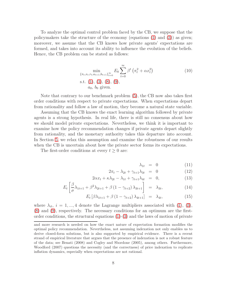To analyze the optimal control problem faced by the CB, we suppose that the policymakers take the structure of the economy (equations [\(1\)](#page-3-1) and [\(3\)](#page-3-1)) as given; moreover, we assume that the CB knows how private agents' expectations are formed, and takes into account its ability to influence the evolution of the beliefs. Hence, the CB problem can be stated as follows:

<span id="page-9-1"></span>
$$
\min_{\{\pi_t, x_t, r_t, a_{t+1}, b_{t+1}\}_{t=0}^{\infty}} E_0 \sum_{t=0}^{\infty} \beta^t \left(\pi_t^2 + \alpha x_t^2\right)
$$
\n
$$
\text{s.t.} \quad (1), \ (3), \ (8), \ (9),
$$
\n
$$
a_0, \ b_0 \text{ given.}
$$
\n
$$
(10)
$$

Note that contrary to our benchmark problem [\(5\)](#page-7-0), the CB now also takes first order conditions with respect to private expectations. When expectations depart from rationality and follow a law of motion, they become a natural state variable.

Assuming that the CB knows the exact learning algorithm followed by private agents is a strong hypothesis. In real life, there is still no consensus about how we should model private expectations. Nevertheless, we think it is important to examine how the policy recommendation changes if private agents depart slightly from rationality, and the monetary authority takes this departure into account. In Section [5,](#page-19-0) we relax this assumption and examine the robustness of our results when the CB is uncertain about how the private sector forms its expectations.

The first-order conditions at every  $t \geq 0$  are:

<span id="page-9-0"></span>
$$
\lambda_{1t} = 0 \tag{11}
$$

$$
2\pi_t - \lambda_{2t} + \gamma_{t+1}\lambda_{3t} = 0 \qquad (12)
$$

$$
2\alpha x_t + \kappa \lambda_{2t} - \lambda_{1t} + \gamma_{t+1} \lambda_{4t} = 0, \qquad (13)
$$

$$
E_t\left[\frac{\beta}{\sigma}\lambda_{1t+1} + \beta^2\lambda_{2t+1} + \beta\left(1 - \gamma_{t+2}\right)\lambda_{3t+1}\right] = \lambda_{3t},\tag{14}
$$

$$
E_t \left[ \beta \lambda_{1t+1} + \beta \left( 1 - \gamma_{t+2} \right) \lambda_{4t+1} \right] = \lambda_{4t}, \tag{15}
$$

where  $\lambda_{it}$ ,  $i = 1, ..., 4$  denote the Lagrange multipliers associated with [\(1\)](#page-3-1), [\(3\)](#page-3-1), [\(8\)](#page-7-1) and [\(9\)](#page-7-1), respectively. The necessary conditions for an optimum are the firstorder conditions, the structural equations  $(1)-(3)$  $(1)-(3)$  and the laws of motion of private

and more research is needed on how the exact nature of expectation formation modifies the optimal policy recommendation. Nevertheless, not assuming indexation not only enables us to derive closed-form solutions, but is also supported by empirical evidence. There is a recent strand of empirical literature that argues that the presence of indexation is not a robust feature of the data; see Benati (2008) and Cogley and Sbordone (2005), among others. Furthermore, Woodford (2007) questions the necessity (and the correctness) of price indexation to replicate inflation dynamics, especially when expectations are not rational.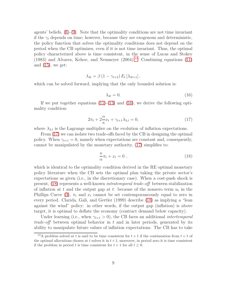agents' beliefs, [\(8\)](#page-7-1)-[\(9\)](#page-7-1). Note that the optimality conditions are not time invariant if the  $\gamma_t$  depends on time; however, because they are exogenous and deterministic, the policy function that solves the optimality conditions does not depend on the period when the CB optimizes, even if it is not time invariant. Thus, the optimal policy characterized above is time consistent, in the sense of Lucas and Stokey (1983) and Alvarez, Kehoe, and Neumeyer  $(2004).^{12}$  $(2004).^{12}$  $(2004).^{12}$  Combining equations  $(11)$ and  $(15)$ , we get:

$$
\lambda_{4t} = \beta \left(1 - \gamma_{t+2}\right) E_t \left[\lambda_{4t+1}\right],
$$

which can be solved forward, implying that the only bounded solution is:

$$
\lambda_{4t} = 0. \tag{16}
$$

If we put together equations  $(11)-(13)$  $(11)-(13)$  and  $(16)$ , we derive the following optimality condition:

$$
2\pi_t + 2\frac{\alpha}{\kappa}x_t + \gamma_{t+1}\lambda_{3,t} = 0,\t(17)
$$

where  $\lambda_{3,t}$  is the Lagrange multiplier on the evolution of inflation expectations.

From [\(17\)](#page-9-0) we can isolate two trade-offs faced by the CB in designing the optimal policy. When  $\gamma_{t+1} = 0$ , namely when expectations are constant and, consequently, cannot be manipulated by the monetary authority, [\(17\)](#page-9-0) simplifies to:

$$
\frac{\kappa}{\alpha}\pi_t + x_t = 0 \tag{18}
$$

which is identical to the optimality condition derived in the RE optimal monetary policy literature when the CB sets the optimal plan taking the private sector's expectations as given (i.e., in the discretionary case). When a cost-push shock is present, [\(18\)](#page-9-0) represents a well-known intratemporal trade-off between stabilization of inflation at t and the output gap at t: because of the nonzero term  $u_t$  in the Phillips Curve [\(3\)](#page-3-1),  $\pi_t$  and  $x_t$  cannot be set contemporaneously equal to zero in every period. Clarida, Gali, and Gertler (1999) describe [\(18\)](#page-9-0) as implying a "lean against the wind" policy: in other words, if the output gap (inflation) is above target, it is optimal to deflate the economy (contract demand below capacity).

Under learning (i.e., when  $\gamma_{t+1} > 0$ ), the CB faces an additional *intertemporal* trade-off between optimal behavior in t and in later periods, generated by its ability to manipulate future values of inflation expectations. The CB has to take

<span id="page-10-0"></span><sup>&</sup>lt;sup>12</sup>A problem solved at t is said to be time consistent for  $t + 1$  if the continuation from  $t + 1$  of the optimal allocations chosen at t solves it in  $t+1$ ; moreover, in period zero it is time consistent if the problem in period t is time consistent for  $t + 1$  for all  $t \geq 0$ .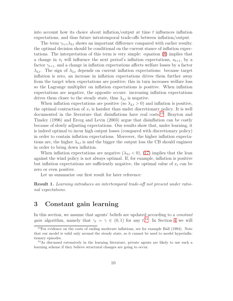into account how its choice about inflation/output at time  $t$  influences inflation expectations, and thus future intratemporal trade-offs between inflation/output.

The term  $\gamma_{t+1}\lambda_{3,t}$  shows an important difference compared with earlier results: the optimal decision should be conditional on the current stance of inflation expectations. The interpretation of this term is very simple: equation [\(8\)](#page-7-1) implies that a change in  $\pi_t$  will influence the next period's inflation expectations,  $a_{t+1}$ , by a factor  $\gamma_{t+1}$ , and a change in inflation expectations affects welfare losses by a factor  $\lambda_{3,t}$ . The sign of  $\lambda_{3,t}$  depends on current inflation expectations: because target inflation is zero, an increase in inflation expectations drives them further away from the target when expectations are positive; this in turn increases welfare loss so the Lagrange multiplier on inflation expectations is positive. When inflation expectations are negative, the opposite occurs: increasing inflation expectations drives them closer to the steady state, thus  $\lambda_{3,t}$  is negative.

When inflation expectations are positive (so  $\lambda_{3,t} > 0$ ) and inflation is positive, the optimal contraction of  $x_t$  is harsher than under discretionary policy. It is well documented in the literature that disinflations have real costs.<sup>[13](#page-11-0)</sup> Brayton and Tinsley (1996) and Erceg and Levin (2003) argue that disinflation can be costly because of slowly adjusting expectations. Our results show that, under learning, it is indeed optimal to incur high output losses (compared with discretionary policy) in order to contain inflation expectations. Moreover, the higher inflation expectations are, the higher  $\lambda_{3,t}$  is and the bigger the output loss the CB should engineer in order to bring down inflation.

When inflation expectations are negative  $(\lambda_{3,t} < 0)$ , [\(17\)](#page-9-0) implies that the lean against the wind policy is not always optimal. If, for example, inflation is positive but inflation expectations are sufficiently negative, the optimal value of  $x_t$  can be zero or even positive.

Let us summarize our first result for later reference:

Result 1. Learning introduces an intertemporal trade-off not present under rational expectations.

#### 3 Constant gain learning

In this section, we assume that agents' beliefs are updated according to a constant *gain* algorithm, namely that  $\gamma_t = \gamma \in (0,1)$  for any  $t^{14}$  $t^{14}$  $t^{14}$  In Section [4](#page-16-0) we will

<span id="page-11-0"></span><sup>&</sup>lt;sup>13</sup>For evidence on the costs of ending moderate inflations, see for example Ball (1994). Note that our model is valid only around the steady state, so it cannot be used to model hyperinflationary episodes.

<span id="page-11-1"></span><sup>14</sup>As discussed extensively in the learning literature, private agents are likely to use such a learning scheme if they believe structural changes are going to occur.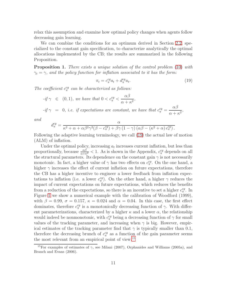relax this assumption and examine how optimal policy changes when agents follow decreasing gain learning.

We can combine the conditions for an optimum derived in Section [2.2,](#page-7-1) specialized to the constant gain specification, to characterize analytically the optimal allocations implemented by the CB; the results are summarized in the following Proposition.

Proposition 1. There exists a unique solution of the control problem [\(10\)](#page-9-1) with  $\gamma_t = \gamma$ , and the policy function for inflation associated to it has the form:

$$
\pi_t = c_{\pi}^{cg} a_t + d_{\pi}^{cg} u_t. \tag{19}
$$

The coefficient  $c_{\pi}^{cg}$  can be characterized as follows:

 $-i f \gamma \in (0,1)$ , we have that  $0 < c_{\pi}^{cg} <$  $\alpha\beta$  $\frac{\alpha \mu}{\alpha + \kappa^2},$  $-i f \gamma = 0$ , *i.e.* if expectations are constant, we have that  $c_{\pi}^{cg} =$  $\alpha\beta$  $\frac{\alpha \mu}{\alpha + \kappa^2},$ 

and

$$
d_{\pi}^{cg} = \frac{\alpha}{\kappa^2 + \alpha + \alpha \beta^2 \gamma^2 (\beta - c_{\pi}^{cg}) + \beta \gamma (1 - \gamma) (\alpha \beta - (\kappa^2 + \alpha) c_{\pi}^{cg}).
$$

Following the adaptive learning terminology, we call [\(19\)](#page-9-0) the actual law of motion (ALM) of inflation.

Under the optimal policy, increasing  $a_t$  increases current inflation, but less than proportionally, because  $\frac{\alpha\beta}{\alpha+\kappa^2} < 1$ . As is shown in the Appendix,  $c_{\pi}^{cg}$  depends on all the structural parameters. Its dependence on the constant gain  $\gamma$  is not necessarily monotonic. In fact, a higher value of  $\gamma$  has two effects on  $c_{\pi}^{cg}$ . On the one hand, a higher  $\gamma$  increases the effect of current inflation on future expectations, therefore the CB has a higher incentive to engineer a lower feedback from inflation expectations to inflation (i.e. a lower  $c_{\pi}^{cg}$ ). On the other hand, a higher  $\gamma$  reduces the impact of current expectations on future expectations, which reduces the benefits from a reduction of the expectations, so there is an incentive to set a higher  $c_{\pi}^{cg}$ . In Figure [1](#page-43-0) we show a numerical example with the calibration of Woodford (1999), with  $\beta = 0.99$ ,  $\sigma = 0.157$ ,  $\kappa = 0.024$  and  $\alpha = 0.04$ . In this case, the first effect dominates, therefore  $c_{\pi}^{cg}$  is a monotonically decreasing function of  $\gamma$ . With different parameterizations, characterized by a higher  $\kappa$  and a lower  $\alpha$ , the relationship would indeed be nonmonotonic, with  $c_{\pi}^{cg}$  being a decreasing function of  $\gamma$  for small values of the tracking parameter, and increasing when  $\gamma$  is big. However, empirical estimates of the tracking parameter find that  $\gamma$  is typically smaller than 0.1, therefore the decreasing brunch of  $c_{\pi}^{cg}$  as a function of the gain parameter seems the most relevant from an empirical point of view.[15](#page-12-0)

<span id="page-12-0"></span><sup>&</sup>lt;sup>15</sup>For examples of estimates of  $\gamma$ , see Milani (2007), Orphanides and Williams (2005a), and Branch and Evans (2006).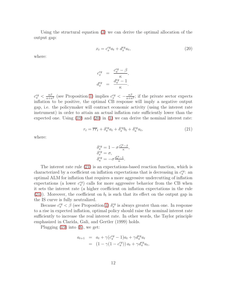Using the structural equation [\(3\)](#page-3-1) we can derive the optimal allocation of the output gap:

$$
x_t = c_x^{cg} a_t + d_x^{cg} u_t,\tag{20}
$$

where:

$$
c_x^{cg} = \frac{c_{\pi}^{cg} - \beta}{\kappa},
$$
  

$$
d_x^{cg} = \frac{d_{\pi}^{cg} - 1}{\kappa}.
$$

 $c_{\pi}^{cg} < \frac{\alpha\beta}{\alpha+\kappa^2}$  (see Proposition [1\)](#page-9-0) implies  $c_x^{cg} < -\frac{\kappa\beta}{\alpha+\kappa^2}$ ; if the private sector expects inflation to be positive, the optimal CB response will imply a negative output gap, i.e. the policymaker will contract economic activity (using the interest rate instrument) in order to attain an actual inflation rate sufficiently lower than the expected one. Using [\(19\)](#page-9-0) and [\(20\)](#page-9-0) in [\(1\)](#page-3-1) we can derive the nominal interest rate:

$$
r_t = \overline{rr}_t + \delta_{\pi}^{cg} a_t + \delta_x^{cg} b_t + \delta_u^{cg} u_t,
$$
\n
$$
(21)
$$

where:

$$
\delta_{\pi}^{cg} = 1 - \sigma \frac{c_{\pi}^{cg} - \beta}{\kappa},
$$
  
\n
$$
\delta_{\alpha}^{cg} = \sigma,
$$
  
\n
$$
\delta_{\alpha}^{cg} = -\sigma \frac{d_{\pi}^{cg} - 1}{\kappa}.
$$

The interest rate rule [\(21\)](#page-9-0) is an expectations-based reaction function, which is characterized by a coefficient on inflation expectations that is decreasing in  $c_{\pi}^{cg}$ : and optimal ALM for inflation that requires a more aggressive undercutting of inflation expectations (a lower  $c_{\pi}^{cg}$ ) calls for more aggressive behavior from the CB when it sets the interest rate (a higher coefficient on inflation expectations in the rule  $(21)$ ). Moreover, the coefficient on  $b_t$  is such that its effect on the output gap in the IS curve is fully neutralized.

Because  $c_{\pi}^{cg} < \beta$  (see Proposition [1\)](#page-9-0)  $\delta_{\pi}^{cg}$  is always greater than one. In response to a rise in expected inflation, optimal policy should raise the nominal interest rate sufficiently to increase the real interest rate. In other words, the Taylor principle emphasized in Clarida, Gali, and Gertler (1999) holds.

Plugging  $(19)$  into  $(8)$ , we get:

$$
a_{t+1} = a_t + \gamma (c_{\pi}^{cg} - 1) a_t + \gamma d_{\pi}^{cg} u_t
$$
  
=  $(1 - \gamma (1 - c_{\pi}^{cg})) a_t + \gamma d_{\pi}^{cg} u_t,$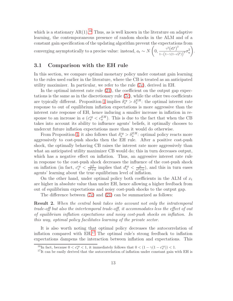which is a stationary  $AR(1)$ .<sup>[16](#page-14-0)</sup> Thus, as is well known in the literature on adaptive learning, the contemporaneous presence of random shocks in the ALM and of a constant gain specification of the updating algorithm prevent the expectations from converging asymptotically to a precise value: instead,  $a_t \sim N$  $\sqrt{ }$  $0, \frac{\gamma^2\left(d_\pi^{cg}\right)^2}{\sqrt{d_\pi}}$  $1 - (1 - \gamma(1 - c_{\pi}^{cg}))$  $\overline{z} \sigma_u^2$  $\setminus$ 

.

#### <span id="page-14-2"></span>3.1 Comparison with the EH rule

In this section, we compare optimal monetary policy under constant gain learning to the rules used earlier in the literature, where the CB is treated as an anticipated utility maximizer. In particular, we refer to the rule [\(7c\)](#page-7-1), derived in EH.

In the optimal interest rate rule [\(21\)](#page-9-0), the coefficient on the output gap expectations is the same as in the discretionary rule [\(7c\)](#page-7-1), while the other two coefficients are typically different. Proposition [1](#page-9-0) implies  $\delta_{\pi}^{cg} > \delta_{\pi}^{EH}$ : the optimal interest rate response to out of equilibrium inflation expectations is more aggressive than the interest rate response of EH, hence inducing a smaller increase in inflation in response to an increase in  $a (c_{\pi}^{cg} < c_{\pi}^{EH})$ . This is due to the fact that when the CB takes into account its ability to influence agents' beliefs, it optimally chooses to undercut future inflation expectations more than it would do otherwise.

From Proposition [1,](#page-9-0) it also follows that  $\delta_u^{cg} > \delta_u^{EH}$ : optimal policy reacts more aggressively to cost-push shocks then the EH rule. After a positive cost-push shock, the optimally behaving CB raises the interest rate more aggressively than what an anticipated utility maximizer CB would do; this in turn decreases output, which has a negative effect on inflation. Thus, an aggressive interest rate rule in response to the cost-push shock decreases the influence of the cost-push shock on inflation (in fact,  $c_{\pi}^{cg} < \frac{\alpha\beta}{\kappa^2 + 1}$  $\frac{\alpha\beta}{\kappa^2+\alpha}$  implies that  $d_{\pi}^{cg} < \frac{\alpha}{\kappa^2+\alpha}$ , and this in turn eases agents' learning about the true equilibrium level of inflation.

On the other hand, under optimal policy both coefficients in the ALM of  $x_t$ are higher in absolute value than under EH, hence allowing a higher feedback from out of equilibrium expectations and noisy cost-push shocks to the output gap.

The difference between [\(7c\)](#page-7-1) and [\(21\)](#page-9-0) can be summarized as follows:

Result 2. When the central bank takes into account not only the intratemporal trade-off but also the intertemporal trade-off, it accommodates less the effect of out of equilibrium inflation expectations and noisy cost-push shocks on inflation. In this way, optimal policy facilitates learning of the private sector.

It is also worth noting that optimal policy decreases the autocorrelation of inflation compared with  $EH^{17}$  $EH^{17}$  $EH^{17}$ . The optimal rule's strong feedback to inflation expectations dampens the interaction between inflation and expectations. This

<sup>&</sup>lt;sup>16</sup>In fact, because  $0 < c_{\pi}^{cg} < 1$ , it immediately follows that  $0 < (1 - \gamma(1 - c_{\pi}^{cg})) < 1$ .

<span id="page-14-1"></span><span id="page-14-0"></span><sup>&</sup>lt;sup>17</sup>It can be easily derived that the autocorrelation of inflation under constant gain with EH is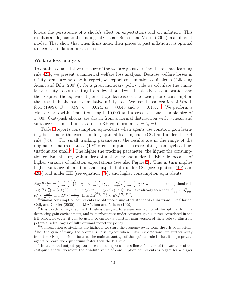lowers the persistence of a shock's effect on expectations and on inflation. This result is analogous to the findings of Gaspar, Smets, and Vestin (2006) in a different model. They show that when firms index their prices to past inflation it is optimal to decrease inflation persistence.

#### Welfare loss analysis

To obtain a quantitative measure of the welfare gains of using the optimal learning rule [\(21\)](#page-9-0), we present a numerical welfare loss analysis. Because welfare losses in utility terms are hard to interpret, we report consumption equivalents (following Adam and Billi (2007)): for a given monetary policy rule we calculate the cumulative utility losses resulting from deviations from the steady state allocation and then express the equivalent percentage decrease of the steady state consumption that results in the same cumulative utility loss. We use the calibration of Woodford (1999):  $\beta = 0.99$ ,  $\kappa = 0.024$ ,  $\alpha = 0.048$  and  $\sigma = 0.157$ <sup>[18](#page-15-0)</sup>. We perform a Monte Carlo with simulation length 10,000 and a cross-sectional sample size of 1,000. Cost-push shocks are drawn from a normal distribution with 0 mean and variance 0.1. Initial beliefs are the RE equilibrium:  $a_0 = b_0 = 0$ .

Table [1](#page-16-0) reports consumption equivalents when agents use constant gain learning, both under the corresponding optimal learning rule (CG) and under the EH rule [\(7c\)](#page-7-1).[19](#page-15-1) For small tracking parameters, the results are in the range of the original estimates of Lucas (1987): consumption losses resulting from cyclical fluc-tuations are small.<sup>[20](#page-15-2)</sup> The higher the tracking parameter, the higher the consumption equivalents are, both under optimal policy and under the EH rule, because of higher variance of inflation expectations (see also Figure [2\)](#page-44-0). This in turn implies higher variance of inflation and output, both under CG (see equation [\(19\)](#page-9-0) and  $(20)$ ) and under EH (see equation  $(7)$ ), and higher consumption equivalents.<sup>[21](#page-15-3)</sup>

 $E\pi_t^{EH}\pi_{t-1}^{EH} = \left(\frac{\alpha\beta}{\alpha+\kappa^2}\right)^2 \left(1-\gamma+\gamma\frac{\alpha\beta}{\alpha+\kappa^2}\right)\sigma_{a_{EH}}^2 + \frac{\alpha\beta}{\alpha+\kappa^2}\left(\frac{\alpha}{\alpha+\kappa^2}\right)^2\gamma\sigma_u^2$  while under the optimal rule  $E \pi_t^{CG} \pi_{t-1}^{CG} = (c_{\pi}^{cg})^2 (1 - \gamma + \gamma c_{\pi}^{cg}) \sigma_{a_{CG}}^2 + c_{\pi}^{cg} (d_{\pi}^{cg})^2 \gamma \sigma_u^2$ . We have already seen that  $\sigma_{a_{CG}}^2 < \sigma_{a_{EH}}^2$ ,  $c_{\pi}^{cg} < \frac{\alpha\beta}{\alpha+\kappa^2}$  and  $d_{\pi}^{cg} < \frac{\alpha}{\alpha+\kappa^2}$ , thus  $E\pi_t^{CG}\pi_{t-1}^{CG} < E\pi_t^{EH}\pi_{t-1}^{EH}$ .

<span id="page-15-0"></span><sup>18</sup>Similar consumption equivalents are obtained using other standard calibrations, like Clarida, Gali, and Gertler (2000) and McCallum and Nelson (1999).

<span id="page-15-1"></span><sup>19</sup>It is worth noting that the EH rule is designed to ensure learnability of the optimal RE in a decreasing gain environment, and its performance under constant gain is never considered in the EH paper; however, it can be useful to employ a constant gain version of their rule to illustrate potential advantages of fully optimal monetary policy.

<span id="page-15-2"></span> $20$ Consumption equivalents are higher if we start the economy away from the RE equilibrium. Also, the gain of using the optimal rule is higher when initial expectations are further away from the RE equilibrium, because the main advantage of the optimal rule is that it helps private agents to learn the equilibrium faster then the EH rule.

<span id="page-15-3"></span><sup>21</sup>Inflation and output gap variance can be expressed as a linear function of the variance of the cost-push shock, therefore the absolute value of consumption equivalents is bigger for a bigger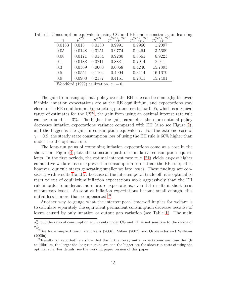<span id="page-16-0"></span>

|        | $n^{CG}$ | EН     | $E$ H  | $\Box EH$ | $\Box EH$<br>$p_{\tau}$ |
|--------|----------|--------|--------|-----------|-------------------------|
| 0.0183 | 0.013    | 0.0130 | 0.9991 | 0.9966    | 1.2097                  |
| 0.05   | 0.0148   | 0.0151 | 0.9774 | 0.9464    | 3.5609                  |
| 0.08   | 0.0171   | 0.0184 | 0.9280 | 0.8561    | 6.9223                  |
| 0.1    | 0.0188   | 0.0211 | 0.8881 | 0.7914    | 8.941                   |
| 0.3    | 0.0369   | 0.0608 | 0.6068 | 0.4246    | 15.7893                 |
| 0.5    | 0.0551   | 0.1104 | 0.4994 | 0.3114    | 16.1679                 |
| 0.9    | 0.0908   | 0.2187 | 0.4151 | 0.2311    | 15.7401                 |

Table 1: Consumption equivalents using CG and EH under constant gain learning

Woodford (1999) calibration,  $a_0 = 0$ .

The gain from using optimal policy over the EH rule can be nonnegligible even if initial inflation expectations are at the RE equilibrium, and expectations stay close to the RE equilibrium. For tracking parameters below 0.05, which is a typical range of estimates for the  $US^{22}$  $US^{22}$  $US^{22}$ , the gain from using an optimal interest rate rule can be around  $1 - 3\%$ . The higher the gain parameter, the more optimal policy decreases inflation expectations variance compared with EH (also see Figure [2\)](#page-44-0), and the bigger is the gain in consumption equivalents. For the extreme case of  $\gamma = 0.9$ , the steady state consumption loss of using the EH rule is 60% higher than under the the optimal rule.

The long-run gains of containing inflation expectations come at a cost in the short run. Figure [4](#page-45-0) plots the transition path of cumulative consumption equivalents. In the first periods, the optimal interest rate rule  $(21)$  yields  $ex$ -post higher cumulative welfare losses expressed in consumption terms than the EH rule; later, however, our rule starts generating smaller welfare losses. These findings are consistent with results [1](#page-9-0) and [2:](#page-14-2) because of the intertemporal trade-off, it is optimal to react to out of equilibrium inflation expectations more aggressively than the EH rule in order to undercut more future expectations, even if it results in short-term output gap losses. As soon as inflation expectations become small enough, this initial loss is more than compensated.[23](#page-16-2)

Another way to gauge what the intertemporal trade-off implies for welfare is to calculate separately the equivalent permanent consumption decrease because of losses caused by only inflation or output gap variation (see Table [1\)](#page-16-0). The main

 $\sigma_u^2$ , but the ratio of consumption equivalents under CG and EH is not sensitive to the choice of  $\sigma^{\bar{2}}_u.$ 

<span id="page-16-1"></span><sup>&</sup>lt;sup>22</sup>See for example Branch and Evans (2006), Milani (2007) and Orphanides and Williams (2005a).

<span id="page-16-2"></span><sup>&</sup>lt;sup>23</sup>Results not reported here show that the further away initial expectations are from the RE equilibrium, the larger the long-run gains are and the bigger are the short-run costs of using the optimal rule. For details, see the working paper version of this paper.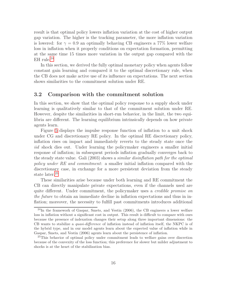result is that optimal policy lowers inflation variation at the cost of higher output gap variation. The higher is the tracking parameter, the more inflation variation is lowered: for  $\gamma = 0.9$  an optimally behaving CB engineers a 77% lower welfare loss in inflation when it properly conditions on expectation formation, permitting at the same time 15 times more variation in the output gap compared with the  $EH$  rule.<sup>[24](#page-17-0)</sup>

In this section, we derived the fully optimal monetary policy when agents follow constant gain learning and compared it to the optimal discretionary rule, when the CB does not make active use of its influence on expectations. The next section shows similarities to the commitment solution under RE.

#### 3.2 Comparison with the commitment solution

In this section, we show that the optimal policy response to a supply shock under learning is qualitatively similar to that of the commitment solution under RE. However, despite the similarities in short-run behavior, in the limit, the two equilibria are different. The learning equilibrium intrinsically depends on how private agents learn.

Figure [5](#page-45-1) displays the impulse response function of inflation to a unit shock under CG and discretionary RE policy. In the optimal RE discretionary policy, inflation rises on impact and immediately reverts to the steady state once the iid shock dies out. Under learning the policymaker engineers a smaller initial response of inflation; in subsequent periods inflation gradually converges back to the steady state value. Gali (2003) shows a similar disinflation path for the optimal policy under RE and commitment: a smaller initial inflation compared with the discretionary case, in exchange for a more persistent deviation from the steady state later.<sup>[25](#page-17-1)</sup>

These similarities arise because under both learning and RE commitment the CB can directly manipulate private expectations, even if the channels used are quite different. Under commitment, the policymaker uses a *credible promise on* the future to obtain an immediate decline in inflation expectations and thus in inflation; moreover, the necessity to fulfill past commitments introduces additional

<span id="page-17-0"></span><sup>24</sup>In the framework of Gaspar, Smets, and Vestin (2006), the CB engineers a lower welfare loss in inflation without a significant cost in output. This result is difficult to compare with ours because the presence of indexation changes their setup along three important dimensions: the CB wants to stabilize a quasi-difference of inflation instead of inflation itself, the NKPC is of the hybrid type, and in our model agents learn about the expected value of inflation while in Gaspar, Smets, and Vestin (2006) agents learn about the persistence of inflation.

<span id="page-17-1"></span><sup>&</sup>lt;sup>25</sup>This behavior of optimal policy under commitment leads to welfare gains over discretion because of the convexity of the loss function; this preference for slower but milder adjustment to shocks is at the heart of the stabilization bias.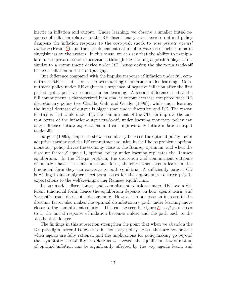inertia in inflation and output. Under learning, we observe a smaller initial response of inflation relative to the RE discretionary case because optimal policy dampens the inflation response to the cost-push shock to ease private agents' learning (Result [2\)](#page-14-2), and the past-dependent nature of private sector beliefs imparts sluggishness on the system. In this sense, we can say that the ability to manipulate future private sector expectations through the learning algorithm plays a role similar to a commitment device under RE, hence easing the short-run trade-off between inflation and the output gap.

One difference compared with the impulse response of inflation under full commitment RE is that there is no overshooting of inflation under learning. Commitment policy under RE engineers a sequence of negative inflation after the first period, yet a positive sequence under learning. A second difference is that the full commitment is characterized by a smaller output decrease compared with RE discretionary policy (see Clarida, Gali, and Gertler (1999)), while under learning the initial decrease of output is bigger than under discretion and RE. The reason for this is that while under RE the commitment of the CB can improve the current terms of the inflation-output trade-off, under learning monetary policy can only influence future expectations and can improve only future inflation-output trade-offs.

Sargent (1999), chapter 5, shows a similarity between the optimal policy under adaptive learning and the RE commitment solution in the Phelps problem: optimal monetary policy drives the economy close to the Ramsey optimum, and when the discount factor  $\beta$  equals 1, optimal policy under learning replicates the Ramsey equilibrium. In the Phelps problem, the discretion and commitment outcome of inflation have the same functional form, therefore when agents learn in this functional form they can converge to both equilibria. A sufficiently patient CB is willing to incur higher short-term losses for the opportunity to drive private expectations to the welfare-improving Ramsey equilibrium.

In our model, discretionary and commitment solutions under RE have a different functional form; hence the equilibrium depends on how agents learn, and Sargent's result does not hold anymore. However, in our case an increase in the discount factor also makes the optimal disinflationary path under learning move closer to the commitment solution. This can be seen in Figure [5:](#page-45-1) as  $\beta$  gets closer to 1, the initial response of inflation becomes milder and the path back to the steady state longer.

The findings in this subsection strengthen the point that when we abandon the RE paradigm, several issues arise in monetary policy design that are not present when agents are fully rational, and the implications for policymaking go beyond the asymptotic learnability criterion: as we showed, the equilibrium law of motion of optimal inflation can be significantly affected by the way agents learn, and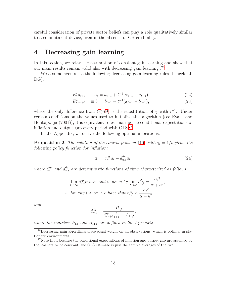careful consideration of private sector beliefs can play a role qualitatively similar to a commitment device, even in the absence of CB credibility.

#### 4 Decreasing gain learning

In this section, we relax the assumption of constant gain learning and show that our main results remain valid also with decreasing gain learning .[26](#page-19-1)

We assume agents use the following decreasing gain learning rules (henceforth DG):

<span id="page-19-0"></span>
$$
E_t^* \pi_{t+1} \equiv a_t = a_{t-1} + t^{-1} (\pi_{t-1} - a_{t-1}), \tag{22}
$$

$$
E_t^* x_{t+1} \equiv b_t = b_{t-1} + t^{-1} (x_{t-1} - b_{t-1}), \tag{23}
$$

where the only difference from [\(8\)](#page-7-1)-[\(9\)](#page-7-1) is the substitution of  $\gamma$  with  $t^{-1}$ . Under certain conditions on the values used to initialize this algorithm (see Evans and Honkapohja (2001)), it is equivalent to estimating the conditional expectations of inflation and output gap every period with  $OLS<sup>27</sup>$  $OLS<sup>27</sup>$  $OLS<sup>27</sup>$ 

In the Appendix, we derive the following optimal allocations.

**Proposition 2.** The solution of the control problem [\(10\)](#page-9-1) with  $\gamma_t = 1/t$  yields the following policy function for inflation:

$$
\pi_t = c_{\pi,t}^{dg} a_t + d_{\pi,t}^{dg} u_t,\tag{24}
$$

where  $c_{\pi,t}^{dg}$  and  $d_{\pi,t}^{dg}$  are deterministic functions of time characterized as follows:

\n- \n
$$
\lim_{t \to \infty} c_{\pi, t}^{dg} \text{exists, and is given by } \lim_{t \to \infty} c_{\pi, t}^{dg} = \frac{\alpha \beta}{\alpha + \kappa^2};
$$
\n
\n- \n
$$
\text{for any } t < \infty, \text{ we have that } c_{\pi, t}^{dg} < \frac{\alpha \beta}{\alpha + \kappa^2}
$$
\n
\n

and

$$
d_{\pi,t}^{dg} = \frac{P_{1,t}}{c_{\pi,t+1}^{dg} \frac{1}{t+1} - A_{11,t}},
$$

where the matrices  $P_{1,t}$  and  $A_{11,t}$  are defined in the Appendix.

<span id="page-19-1"></span><sup>&</sup>lt;sup>26</sup>Decreasing gain algorithms place equal weight on all observations, which is optimal in stationary environments.

<span id="page-19-2"></span><sup>&</sup>lt;sup>27</sup>Note that, because the conditional expectations of inflation and output gap are assumed by the learners to be constant, the OLS estimate is just the sample averages of the two.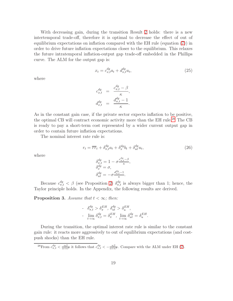With decreasing gain, during the transition Result [2](#page-14-2) holds: there is a new intertemporal trade-off, therefore it is optimal to decrease the effect of out of equilibrium expectations on inflation compared with the EH rule (equation [\(7\)](#page-7-0)) in order to drive future inflation expectations closer to the equilibrium. This relaxes the future intratemporal inflation-output gap trade-off embedded in the Phillips curve. The ALM for the output gap is:

$$
x_t = c_{x,t}^{dg} a_t + d_{x,t}^{dg} u_t,
$$
\n(25)

where

$$
c_{x,t}^{dg} = \frac{c_{\pi,t}^{dg} - \beta}{\kappa},
$$
  

$$
d_{x,t}^{dg} = \frac{d_{\pi,t}^{dg} - 1}{\kappa}.
$$

As in the constant gain case, if the private sector expects inflation to be positive, the optimal CB will contract economic activity more than the EH rule.[28](#page-20-0) The CB is ready to pay a short-term cost represented by a wider current output gap in order to contain future inflation expectations.

The nominal interest rate rule is:

$$
r_t = \overline{rr}_t + \delta_{\pi,t}^{dg} a_t + \delta_x^{dg} b_t + \delta_{ut}^{dg} u_t,
$$
\n(26)

where

$$
\delta_{\pi,t}^{dg} = 1 - \sigma \frac{c_{\pi,t}^{dg} - \beta}{\kappa},
$$
  
\n
$$
\delta_x^{dg} = \sigma,
$$
  
\n
$$
\delta_{ut}^{dg} = -\sigma \frac{d_{\pi,t}^{dg} - 1}{\kappa}.
$$

Because  $c_{\pi,t}^{dg} < \beta$  (see Proposition [2\)](#page-19-0)  $\delta_{\pi,t}^{dg}$  is always bigger than 1; hence, the Taylor principle holds. In the Appendix, the following results are derived.

**Proposition 3.** Assume that  $t < \infty$ ; then:

- 
$$
\delta_{\pi,t}^{dg} > \delta_{\pi}^{EH}
$$
,  $\delta_{ut}^{dg} > \delta_{u}^{EH}$ ,  
\n-  $\lim_{t \to \infty} \delta_{\pi,t}^{dg} = \delta_{\pi}^{EH}$ ,  $\lim_{t \to \infty} \delta_{ut}^{dg} = \delta_{u}^{EH}$ .

During the transition, the optimal interest rate rule is similar to the constant gain rule: it reacts more aggressively to out of equilibrium expectations (and costpush shocks) than the EH rule.

<span id="page-20-0"></span><sup>28</sup>From  $c_{\pi,t}^{dg} < \frac{\alpha\beta}{\alpha+\kappa^2}$  it follows that  $c_{x,t}^{dg} < -\frac{\kappa\beta}{\alpha+\kappa^2}$ . Compare with the ALM under EH [\(7\)](#page-7-0).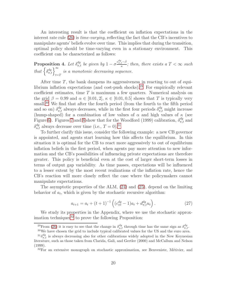An interesting result is that the coefficient on inflation expectations in the interest rate rule [\(26\)](#page-19-0) is *time-varying*, reflecting the fact that the CB's incentives to manipulate agents' beliefs evolve over time. This implies that during the transition, optimal policy should be time-varying even in a stationary environment. This coefficient can be characterized as follows:

**Proposition 4.** Let  $\delta_{\pi,t}^{dg}$  be given by  $1 - \sigma \frac{c_{\pi,t}^{dg} - \beta}{\kappa}$  $\frac{t^{-\rho}}{\kappa}$ ; then, there exists a  $T < \infty$  such that  $\left\{\delta_{\pi,t}^{dg}\right\}_{t=T}^{\infty}$  is a monotonic decreasing sequence.

After time  $T$ , the bank dampens its aggressiveness in reacting to out of equi-librium inflation expectations (and cost-push shocks).<sup>[29](#page-21-0)</sup> For empirically relevant coefficient estimates, time  $T$  is maximum a few quarters. Numerical analysis on the grid  $\beta = 0.99$  and  $\alpha \in [0.01, 2]$ ,  $\kappa \in [0.01, 0.5]$  shows that T is typically very small.<sup>[30](#page-21-1)</sup> We find that after the fourth period (from the fourth to the fifth period and so on)  $\delta_{\pi,t}^{dg}$  always decreases, while in the first four periods  $\delta_{\pi,t}^{dg}$  might increase (hump-shaped) for a combination of low values of  $\alpha$  and high values of  $\kappa$  (see Figure [6\)](#page-46-0). Figures [7](#page-46-1) and [8](#page-47-0) show that for the Woodford (1999) calibration,  $\delta_{\pi,t}^{dg}$  and  $\delta_{u,t}^{dg}$  always decrease over time (i.e.,  $T = 0$ ).<sup>[31](#page-21-2)</sup>

To further clarify this issue, consider the following example: a new CB governor is appointed, and agents start learning how this affects the equilibrium. In this situation it is optimal for the CB to react more aggressively to out of equilibrium inflation beliefs in the first period, when agents pay more attention to new information and the CB's possibilities of influencing private expectations are therefore greater. This policy is beneficial even at the cost of larger short-term losses in terms of output gap variability. As time passes, expectations will be influenced to a lesser extent by the most recent realizations of the inflation rate, hence the CB's reaction will more closely reflect the case where the policymakers cannot manipulate expectations.

The asymptotic properties of the ALM, [\(24\)](#page-19-0) and [\(25\)](#page-19-0), depend on the limiting behavior of  $a_t$ , which is given by the stochastic recursive algorithm:

$$
a_{t+1} = a_t + (t+1)^{-1} \left( (c_{\pi t}^{dg} - 1)a_t + d_{\pi,t}^{dg} u_t \right).
$$
 (27)

We study its properties in the Appendix, where we use the stochastic approximation techniques $^{32}$  $^{32}$  $^{32}$  to prove the following Proposition:

<sup>&</sup>lt;sup>29</sup>From [\(26\)](#page-19-0) it is easy to see that the change in  $\delta_{u,t}^{dg}$  through time has the same sign as  $\delta_{\pi,t}^{dg}$ .

<span id="page-21-1"></span><span id="page-21-0"></span> $30\,\text{We have chosen the grid to include typical calibrated values for the US and the euro area.}$ 

<span id="page-21-2"></span> ${}^{31}\delta_{\pi,t}^{dg}$  is always decreasing also for other calibrations widely adopted in the New Keynesian literature, such as those taken from Clarida, Gali, and Gertler (2000) and McCallum and Nelson (1999).

<span id="page-21-3"></span> $32$ For an extensive monograph on stochastic approximation, see Benveniste, Métivier, and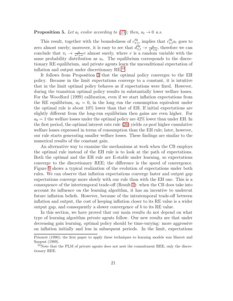#### **Proposition 5.** Let  $a_t$  evolve according to [\(27\)](#page-19-0); then,  $a_t \rightarrow 0$  a.s.

This result, together with the boundedness of  $c_{\pi,t}^{dg}$ , implies that  $c_{\pi,t}^{dg}a_t$  goes to zero almost surely; moreover, it is easy to see that  $d_{\pi,t}^{dg} \to \frac{\alpha}{\kappa^2+\alpha}$ , therefore we can conclude that  $\pi_t \to \frac{\alpha}{\kappa^2+\alpha}v$  almost surely, where v is a random variable with the same probability distribution as  $u_t$ . The equilibrium corresponds to the discretionary RE equilibrium, and private agents learn the unconditional expectation of inflation and output under discretionary RE.[33](#page-22-0)

It follows from Proposition [3](#page-19-0) that the optimal policy converges to the EH policy. Because in the limit expectations converge to a constant, it is intuitive that in the limit optimal policy behaves as if expectations were fixed. However, during the transition optimal policy results in substantially lower welfare losses. For the Woodford (1999) calibration, even if we start inflation expectations from the RE equilibrium,  $a_0 = 0$ , in the long run the consumption equivalent under the optimal rule is about 10% lower than that of EH. If initial expectations are slightly different from the long-run equilibrium then gains are even higher. For  $a_0 = 1$  the welfare losses under the optimal policy are 42% lower than under EH. In the first period, the optimal interest rate rule  $(26)$  yields  $ex\text{-}post$  higher cumulative welfare losses expressed in terms of consumption than the EH rule; later, however, our rule starts generating smaller welfare losses. These findings are similar to the numerical results of the constant gain.

An alternative way to examine the mechanisms at work when the CB employs the optimal rule instead of the EH rule is to look at the path of expectations. Both the optimal and the EH rule are E-stable under learning, so expectations converge to the discretionary REE; the difference is the speed of convergence. Figure [9](#page-47-1) shows a typical realization of the evolution of expectations under both rules. We can observe that inflation expectations converge faster and output gap expectations converge more slowly with our rule than with the EH one. This is a consequence of the intertemporal trade-off (Result [1\)](#page-9-0): when the CB does take into account its influence on the learning algorithm, it has an incentive to undercut future inflation beliefs. However, because of the intratemporal trade-off between inflation and output, the cost of keeping inflation closer to its RE value is a wider output gap, and consequently a slower convergence of b to its RE value.

In this section, we have proved that our main results do not depend on what type of learning algorithm private agents follow. Our new results are that under decreasing gain learning, optimal policy should be time-varying: more aggressive on inflation initially and less in subsequent periods. In the limit, expectations

Priouret (1990); the first paper to apply these techniques to learning models was Marcet and Sargent (1989).

<span id="page-22-0"></span><sup>&</sup>lt;sup>33</sup>Note that the PLM of private agents does not nest the commitment REE, only the discretionary REE.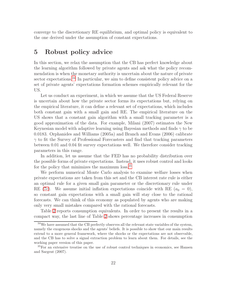converge to the discretionary RE equilibrium, and optimal policy is equivalent to the one derived under the assumption of constant expectations.

#### 5 Robust policy advice

In this section, we relax the assumption that the CB has perfect knowledge about the learning algorithm followed by private agents and ask what the policy recommendation is when the monetary authority is uncertain about the nature of private sector expectations.<sup>[34](#page-23-0)</sup> In particular, we aim to define consistent policy advice on a set of private agents' expectations formation schemes empirically relevant for the US.

Let us conduct an experiment, in which we assume that the US Federal Reserve is uncertain about how the private sector forms its expectations but, relying on the empirical literature, it can define a relevant set of expectations, which includes both constant gain with a small gain and RE. The empirical literature on the US shows that a constant gain algorithm with a small tracking parameter is a good approximation of the data. For example, Milani (2007) estimates the New Keynesian model with adaptive learning using Bayesian methods and finds  $\gamma$  to be 0.0183. Orphanides and Williams (2005a) and Branch and Evans (2006) calibrate  $\gamma$  to fit the Survey of Professional Forecasters and find that tracking parameters between 0.01 and 0.04 fit survey expectations well. We therefore consider tracking parameters in this range.

In addition, let us assume that the FED has no probability distribution over the possible forms of private expectations. Instead, it uses robust control and looks for the policy that minimizes the maximum loss.[35](#page-23-1)

We perform numerical Monte Carlo analysis to examine welfare losses when private expectations are taken from this set and the CB interest rate rule is either an optimal rule for a given small gain parameter or the discretionary rule under RE [\(7c\)](#page-7-1). We assume initial inflation expectations coincide with RE ( $a_0 = 0$ ), so constant gain expectations with a small gain will stay close to the rational forecasts. We can think of this economy as populated by agents who are making only very small mistakes compared with the rational forecasts.

Table [2](#page-24-0) reports consumption equivalents. In order to present the results in a compact way, the last line of Table [2](#page-24-0) shows percentage increases in consumption

<span id="page-23-0"></span> $34$ We have assumed that the CB perfectly observes all the relevant state variables of the system, namely the exogenous shocks and the agents' beliefs. It is possible to show that our main results extend to a more general framework, where the shocks or the expectations are not observable, and the CB has to solve a signal extraction problem to learn about them. For details, see the working paper version of this paper.

<span id="page-23-1"></span><sup>35</sup>For an extensive treatise on the use of robust control techniques in economics, see Hansen and Sargent (2007).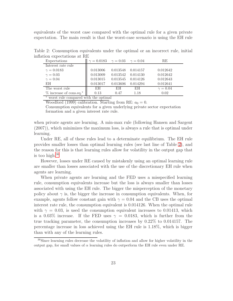equivalents of the worst case compared with the optimal rule for a given private expectation. The main result is that the worst-case scenario is using the EH rule

Table 2: Consumption equivalents under the optimal or an incorrect rule, initial inflation expectations at RE

<span id="page-24-0"></span>

| Expectations               | $\gamma = 0.0183$ $\gamma = 0.03$    |          | $\gamma = 0.04$ | RE              |
|----------------------------|--------------------------------------|----------|-----------------|-----------------|
| Interest rate rule         |                                      |          |                 |                 |
| $\gamma = 0.0183$          | 0.013006                             | 0.013548 | 0.014157        | 0.012642        |
| $\gamma = 0.03$            | 0.013009                             | 0.013542 | 0.014130        | 0.012642        |
| $\gamma = 0.04$            | 0.013015                             | 0.013545 | 0.014126        | 0.012643        |
| EH                         | 0.013017                             | 0.013606 | 0.014294        | 0.012641        |
| The worst rule             | EH                                   | EH       | EН              | $\gamma = 0.04$ |
| $\%$ increase of cons.eq.* | 0.13                                 | 0.47     | 1.18            | 0.02            |
|                            | worst rule compared with the optimal |          |                 |                 |

Woodford (1999) calibration. Starting from RE:  $a_0 = 0$ .

Consumption equivalents for a given underlying private sector expectation formation and a given interest rate rule.

when private agents are learning. A min-max rule (following Hansen and Sargent (2007)), which minimizes the maximum loss, is always a rule that is optimal under learning.

Under RE, all of these rules lead to a determinate equilibrium. The EH rule provides smaller losses than optimal learning rules (see last line of Table [2\)](#page-24-0), and the reason for this is that learning rules allow for volatility in the output gap that is too high. $36$ 

However, losses under RE caused by mistakenly using an optimal learning rule are smaller than losses associated with the use of the discretionary EH rule when agents are learning.

When private agents are learning and the FED uses a misspecified learning rule, consumption equivalents increase but the loss is always smaller than losses associated with using the EH rule. The bigger the misperception of the monetary policy about  $\gamma$  is, the bigger the increase in consumption equivalents. When, for example, agents follow constant gain with  $\gamma = 0.04$  and the CB uses the optimal interest rate rule, the consumption equivalent is 0.014126. When the optimal rule with  $\gamma = 0.03$ , is used the consumption equivalent increases to 0.01413, which is a 0.03% increase. If the FED uses  $\gamma = 0.0183$ , which is further from the true tracking parameter, the consumption increases by 0.22% to 0.014157. The percentage increase in loss achieved using the EH rule is 1.18%, which is bigger than with any of the learning rules.

<span id="page-24-1"></span><sup>36</sup>Since learning rules decrease the volatility of inflation and allow for higher volatility in the output gap, for small values of  $\alpha$  learning rules do outperform the EH rule even under RE.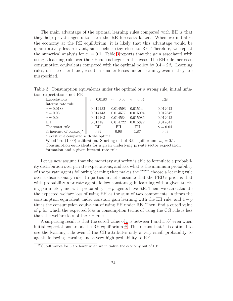The main advantage of the optimal learning rules compared with EH is that they help private agents to learn the RE forecasts faster. When we initialize the economy at the RE equilibrium, it is likely that this advantage would be quantitatively less relevant, since beliefs stay close to RE. Therefore, we repeat the numerical analysis for  $a_0 = 0.1$ . Table [3](#page-25-0) reports that the gain associated with using a learning rule over the EH rule is bigger in this case. The EH rule increases consumption equivalents compared with the optimal policy by  $0.4-2\%$ . Learning rules, on the other hand, result in smaller losses under learning, even if they are misspecified.

Table 3: Consumption equivalents under the optimal or a wrong rule, initial inflation expectations not RE

<span id="page-25-0"></span>

| Expectations               | $\gamma = 0.0183$ $\gamma = 0.03$ $\gamma = 0.04$ |          |          | <b>RE</b>       |
|----------------------------|---------------------------------------------------|----------|----------|-----------------|
| Interest rate rule         |                                                   |          |          |                 |
| $\gamma = 0.0183$          | 0.014132                                          | 0.014593 | 0.01514  | 0.012642        |
| $\gamma = 0.03$            | 0.014143                                          | 0.014577 | 0.015094 | 0.012642        |
| $\gamma = 0.04$            | 0.014163                                          | 0.014584 | 0.015086 | 0.012643        |
| EH                         | 0.01418                                           | 0.014722 | 0.015372 | 0.012641        |
| The worst rule             | EH                                                | EH       | EH       | $\gamma = 0.04$ |
| $\%$ increase of cons.eq.* | 0.39                                              | 0.98     | 1.87     | 0.03            |
| $\star$                    | $\cdot$ , 1, 1, 1, 1                              |          |          |                 |

worst rule compared with the optimal

Woodford (1999) calibration. Starting out of RE equilibrium:  $a_0 = 0.1$ . Consumption equivalents for a given underlying private sector expectation formation and a given interest rate rule.

Let us now assume that the monetary authority is able to formulate a probability distribution over private expectations, and ask what is the minimum probability of the private agents following learning that makes the FED choose a learning rule over a discretionary rule. In particular, let's assume that the FED's prior is that with probability p private agents follow constant gain learning with a given tracking parameter, and with probability  $1 - p$  agents have RE. Then, we can calculate the expected welfare loss of using EH as the sum of two components: p times the consumption equivalent under constant gain learning with the EH rule, and  $1 - p$ times the consumption equivalent of using EH under RE. Then, find a cutoff value of p for which the expected loss in consumption terms of using the CG rule is less than the welfare loss of the EH rule.

A surprising result is that the cutoff value of  $p$  is between 1 and 1.5% even when initial expectations are at the RE equilibrium.<sup>[37](#page-25-1)</sup> This means that it is optimal to use the learning rule even if the CB attributes only a very small probability to agents following learning and a very high probability to RE.

<span id="page-25-1"></span> $37$ Cutoff values for p are lower when we initialize the economy out of RE.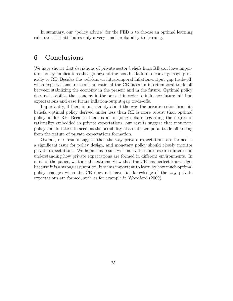In summary, our "policy advice" for the FED is to choose an optimal learning rule, even if it attributes only a very small probability to learning.

#### 6 Conclusions

We have shown that deviations of private sector beliefs from RE can have important policy implications that go beyond the possible failure to converge asymptotically to RE. Besides the well-known intratemporal inflation-output gap trade-off, when expectations are less than rational the CB faces an intertemporal trade-off between stabilizing the economy in the present and in the future. Optimal policy does not stabilize the economy in the present in order to influence future inflation expectations and ease future inflation-output gap trade-offs.

Importantly, if there is uncertainty about the way the private sector forms its beliefs, optimal policy derived under less than RE is more robust than optimal policy under RE. Because there is an ongoing debate regarding the degree of rationality embedded in private expectations, our results suggest that monetary policy should take into account the possibility of an intertemporal trade-off arising from the nature of private expectations formation.

Overall, our results suggest that the way private expectations are formed is a significant issue for policy design, and monetary policy should closely monitor private expectations. We hope this result will motivate more research interest in understanding how private expectations are formed in different environments. In most of the paper, we took the extreme view that the CB has perfect knowledge; because it is a strong assumption, it seems important to learn by how much optimal policy changes when the CB does not have full knowledge of the way private expectations are formed, such as for example in Woodford (2009).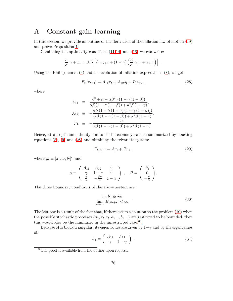#### A Constant gain learning

In this section, we provide an outline of the derivation of the inflation law of motion [\(19\)](#page-9-0) and prove Proposition [1.](#page-9-0)

Combining the optimality conditions [\(11-14\)](#page-9-0) and [\(16\)](#page-9-0) we can write:

$$
\frac{\kappa}{\alpha}\pi_t + x_t = \beta E_t \left[ \beta \gamma x_{t+1} + (1 - \gamma) \left( \frac{\kappa}{\alpha} \pi_{t+1} + x_{t+1} \right) \right] .
$$

Using the Phillips curve [\(3\)](#page-3-1) and the evolution of inflation expectations [\(8\)](#page-7-1), we get:

$$
E_t\left[\pi_{t+1}\right] = A_{11}\pi_t + A_{12}a_t + P_1u_t, \qquad (28)
$$

where

$$
A_{11} \equiv \frac{\kappa^2 + \alpha + \alpha \beta^2 \gamma (1 - \gamma (1 - \beta))}{\alpha \beta (1 - \gamma (1 - \beta)) + \kappa^2 \beta (1 - \gamma)},
$$
  
\n
$$
A_{12} \equiv -\frac{\alpha \beta (1 - \beta (1 - \gamma) (1 - \gamma (1 - \beta)))}{\alpha \beta (1 - \gamma (1 - \beta)) + \kappa^2 \beta (1 - \gamma)},
$$
  
\n
$$
P_1 \equiv -\frac{\alpha}{\alpha \beta (1 - \gamma (1 - \beta)) + \kappa^2 \beta (1 - \gamma)}.
$$

Hence, at an optimum, the dynamics of the economy can be summarized by stacking equations  $(8)$ ,  $(9)$  and  $(28)$  and obtaining the trivariate system:

$$
E_t y_{t+1} = A y_t + P u_t \t\t(29)
$$

where  $y_t \equiv [\pi_t, a_t, b_t]'$ , and

$$
A \equiv \begin{pmatrix} A_{11} & A_{12} & 0 \\ \gamma & 1 - \gamma & 0 \\ \frac{\gamma}{\kappa} & -\frac{\beta \gamma}{\kappa} & 1 - \gamma \end{pmatrix} , \quad P = \begin{pmatrix} P_1 \\ 0 \\ -\frac{\gamma}{\kappa} \end{pmatrix}.
$$

The three boundary conditions of the above system are:

$$
a_0, b_0 \text{ given}
$$
  

$$
\lim_{s \to \infty} |E_t \pi_{t+s}| < \infty
$$
 (30)

The last one is a result of the fact that, if there exists a solution to the problem [\(10\)](#page-9-1) when the possible stochastic processes  $\{\pi_t, x_t, r_t, a_{t+1}, b_{t+1}\}$  are restricted to be bounded, then this would also be the minimizer in the unrestricted case.<sup>[38](#page-27-0)</sup>

Because A is block triangular, its eigenvalues are given by  $1-\gamma$  and by the eigenvalues of:

$$
A_1 \equiv \left( \begin{array}{cc} A_{11} & A_{12} \\ \gamma & 1 - \gamma \end{array} \right) \tag{31}
$$

<span id="page-27-0"></span><sup>38</sup>The proof is available from the author upon request.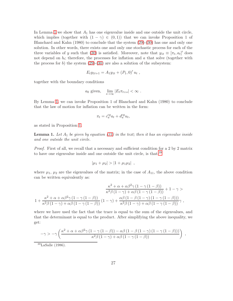In Lemma [1](#page-25-0) we show that  $A_1$  has one eigenvalue inside and one outside the unit circle, which implies (together with  $(1 - \gamma) \in (0, 1)$ ) that we can invoke Proposition 1 of Blanchard and Kahn (1980) to conclude that the system [\(29\)](#page-25-0)-[\(30\)](#page-25-0) has one and only one solution. In other words, there exists one and only one stochastic process for each of the three variables of y such that [\(30\)](#page-25-0) is satisfied. Moreover, note that  $y_{1t} \equiv [\pi_t, a_t]'$  does not depend on  $b_t$ ; therefore, the processes for inflation and a that solve (together with the process for b) the system  $(29)-(30)$  $(29)-(30)$  are also a solution of the subsystem:

$$
E_t y_{1t+1} = A_1 y_{1t} + (P_1, 0)' u_t,
$$

together with the boundary conditions

$$
a_0
$$
 given,  $\lim_{s \to \infty} |E_t \pi_{t+s}| < \infty$ .

By Lemma [1,](#page-25-0) we can invoke Proposition 1 of Blanchard and Kahn (1980) to conclude that the law of motion for inflation can be written in the form:

$$
\pi_t = c_{\pi}^{cg} a_t + d_{\pi}^{cg} u_t,
$$

as stated in Proposition [1.](#page-9-0)

**Lemma 1.** Let  $A_1$  be given by equation [\(31\)](#page-25-0) in the text; then it has an eigenvalue inside and one outside the unit circle.

Proof. First of all, we recall that a necessary and sufficient condition for a 2 by 2 matrix to have one eigenvalue inside and one outside the unit circle, is that:<sup>[39](#page-28-0)</sup>

$$
|\mu_1 + \mu_2| > |1 + \mu_1 \mu_2| \quad ,
$$

where  $\mu_1$ ,  $\mu_2$  are the eigenvalues of the matrix; in the case of  $A_{11}$ , the above condition can be written equivalently as:

$$
\frac{\kappa^2 + \alpha + \alpha \beta^2 \gamma (1 - \gamma (1 - \beta))}{\kappa^2 \beta (1 - \gamma) + \alpha \beta (1 - \gamma (1 - \beta))} + 1 - \gamma >
$$
  

$$
1 + \frac{\kappa^2 + \alpha + \alpha \beta^2 \gamma (1 - \gamma (1 - \beta))}{\kappa^2 \beta (1 - \gamma) + \alpha \beta (1 - \gamma (1 - \beta))} (1 - \gamma) + \frac{\alpha \beta (1 - \beta (1 - \gamma) (1 - \gamma (1 - \beta)))}{\kappa^2 \beta (1 - \gamma) + \alpha \beta (1 - \gamma (1 - \beta))} \gamma ,
$$

where we have used the fact that the trace is equal to the sum of the eigenvalues, and that the determinant is equal to the product. After simplifying the above inequality, we get:

$$
-\gamma > -\gamma \left( \frac{\kappa^2 + \alpha + \alpha \beta^2 \gamma (1 - \gamma (1 - \beta)) - \alpha \beta (1 - \beta (1 - \gamma) (1 - \gamma (1 - \beta)))}{\kappa^2 \beta (1 - \gamma) + \alpha \beta (1 - \gamma (1 - \beta))} \right) ,
$$

<span id="page-28-0"></span> $39$ LaSalle (1986).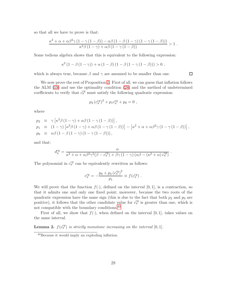so that all we have to prove is that:

$$
\frac{\kappa^2 + \alpha + \alpha\beta^2\gamma (1 - \gamma(1 - \beta)) - \alpha\beta (1 - \beta(1 - \gamma)(1 - \gamma(1 - \beta)))}{\kappa^2 \beta (1 - \gamma) + \alpha\beta (1 - \gamma(1 - \beta))} > 1.
$$

Some tedious algebra shows that this is equivalent to the following expression:

$$
\kappa^{2} (1 - \beta (1 - \gamma)) + \alpha (1 - \beta) (1 - \beta (1 - \gamma (1 - \beta))) > 0,
$$

which is always true, because  $\beta$  and  $\gamma$  are assumed to be smaller than one.

#### $\Box$

We now prove the rest of Proposition [1.](#page-9-0) First of all, we can guess that inflation follows the ALM [\(19\)](#page-9-0) and use the optimality condition [\(28\)](#page-25-0) and the method of undetermined coefficients to verify that  $c_{\pi}^{cg}$  must satisfy the following quadratic expression:

$$
p_2\left(c_{\pi}^{cg}\right)^2 + p_1c_{\pi}^{cg} + p_0 = 0,
$$

where

$$
p_2 \equiv \gamma \left[ \kappa^2 \beta \left( 1 - \gamma \right) + \alpha \beta \left( 1 - \gamma \left( 1 - \beta \right) \right) \right],
$$
  
\n
$$
p_1 \equiv (1 - \gamma) \left[ \kappa^2 \beta \left( 1 - \gamma \right) + \alpha \beta \left( 1 - \gamma \left( 1 - \beta \right) \right) \right] - \left[ \kappa^2 + \alpha + \alpha \beta^2 \gamma \left( 1 - \gamma \left( 1 - \beta \right) \right) \right],
$$
  
\n
$$
p_0 \equiv \alpha \beta \left( 1 - \beta \left( 1 - \gamma \right) \left( 1 - \gamma \left( 1 - \beta \right) \right) \right),
$$

and that:

$$
d_{\pi}^{cg} = \frac{\alpha}{\kappa^2 + \alpha + \alpha \beta^2 \gamma^2 (\beta - c_{\pi}^{cg}) + \beta \gamma (1 - \gamma) (\alpha \beta - (\kappa^2 + \alpha) c_{\pi}^{cg})}.
$$

The polynomial in  $c_{\pi}^{cg}$  can be equivalently rewritten as follows:

$$
c_{\pi}^{cg} = -\frac{p_0 + p_2 (c_{\pi}^{cg})^2}{p_1} \equiv f(c_{\pi}^{cg}).
$$

We will prove that the function  $f(\cdot)$ , defined on the interval [0, 1], is a contraction, so that it admits one and only one fixed point; moreover, because the two roots of the quadratic expression have the same sign (this is due to the fact that both  $p_2$  and  $p_0$  are positive), it follows that the other candidate value for  $c_{\pi}^{cg}$  is greater than one, which is not compatible with the boundary conditions.[40](#page-29-0)

First of all, we show that  $f(\cdot)$ , when defined on the interval [0, 1], takes values on the same interval.

**Lemma 2.**  $f(c_{\pi}^{cg})$  is strictly monotone increasing on the interval [0,1].

<span id="page-29-0"></span><sup>40</sup>Because it would imply an exploding inflation.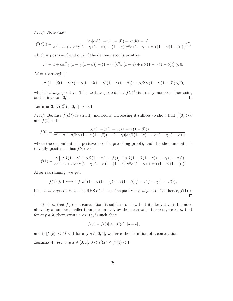Proof. Note that:

$$
f'(c_{\pi}^{cg}) = \frac{2\gamma[\alpha\beta(1-\gamma(1-\beta)) + \kappa^2\beta(1-\gamma)]}{\kappa^2 + \alpha + \alpha\beta^2\gamma(1-\gamma(1-\beta)) - (1-\gamma)[\kappa^2\beta(1-\gamma) + \alpha\beta(1-\gamma(1-\beta))]}\,c_{\pi}^{cg},
$$

which is positive if and only if the denominator is positive:

$$
\kappa^2 + \alpha + \alpha \beta^2 \gamma (1 - \gamma (1 - \beta)) - (1 - \gamma) [\kappa^2 \beta (1 - \gamma) + \alpha \beta (1 - \gamma (1 - \beta))] \leq 0.
$$

After rearranging:

$$
\kappa^2 \left(1 - \beta(1 - \gamma)^2\right) + \alpha[1 - \beta(1 - \gamma)(1 - \gamma(1 - \beta))] + \alpha\beta^2\gamma\left(1 - \gamma(1 - \beta)\right) \lessgtr 0,
$$

which is always positive. Thus we have proved that  $f(c_{\pi}^{cg})$  is strictly monotone increasing on the interval [0,1].  $\Box$ 

Lemma 3.  $f(c_{\pi}^{cg}) : [0,1] \to [0,1]$ 

*Proof.* Because  $f(c_{\pi}^{cg})$  is strictly monotone, increasing it suffices to show that  $f(0) > 0$ and  $f(1) < 1$ :

$$
f(0) = \frac{\alpha \beta (1 - \beta (1 - \gamma) (1 - \gamma (1 - \beta)))}{\kappa^2 + \alpha + \alpha \beta^2 \gamma (1 - \gamma (1 - \beta)) - (1 - \gamma) [\kappa^2 \beta (1 - \gamma) + \alpha \beta (1 - \gamma (1 - \beta))]},
$$

where the denominator is positive (see the preceding proof), and also the numerator is trivially positive. Thus  $f(0) > 0$ :

$$
f(1) = \frac{\gamma \left[ \kappa^2 \beta \left( 1 - \gamma \right) + \alpha \beta \left( 1 - \gamma \left( 1 - \beta \right) \right) \right] + \alpha \beta \left( 1 - \beta \left( 1 - \gamma \right) \left( 1 - \gamma \left( 1 - \beta \right) \right) \right)}{\kappa^2 + \alpha + \alpha \beta^2 \gamma \left( 1 - \gamma \left( 1 - \beta \right) \right) - (1 - \gamma) \left[ \kappa^2 \beta \left( 1 - \gamma \right) + \alpha \beta \left( 1 - \gamma \left( 1 - \beta \right) \right) \right]}
$$

After rearranging, we get:

$$
f(1) \lessgtr 1 \Longleftrightarrow 0 \lessgtr \kappa^2 (1 - \beta (1 - \gamma)) + \alpha (1 - \beta) (1 - \beta (1 - \gamma (1 - \beta))),
$$

but, as we argued above, the RHS of the last inequality is always positive; hence,  $f(1)$  < 1.  $\Box$ 

To show that  $f(\cdot)$  is a contraction, it suffices to show that its derivative is bounded above by a number smaller than one: in fact, by the mean value theorem, we know that for any  $a, b$ , there exists a  $c \in (a, b)$  such that:

$$
|f(a) - f(b)| \le |f'(c)| |a - b|,
$$

and if  $|f'(c)| \leq M < 1$  for any  $c \in [0,1]$ , we have the definition of a contraction.

Lemma 4. For any  $x \in [0,1], 0 < f'(x) \le f'(1) < 1$ .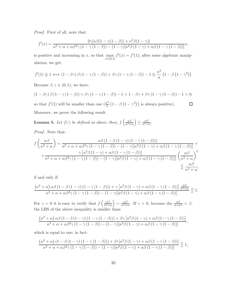Proof. First of all, note that:

$$
f'(x) = \frac{2\gamma[\alpha\beta(1-\gamma(1-\beta)) + \kappa^2\beta(1-\gamma)]}{\kappa^2 + \alpha + \alpha\beta^2\gamma(1-\gamma(1-\beta)) - (1-\gamma)[\kappa^2\beta(1-\gamma) + \alpha\beta(1-\gamma(1-\beta))]}\,x,
$$

is positive and increasing in x, so that  $\max_{x \in [0,1]} f'(x) = f'(1)$ ; after some algebraic manipulation, we get:

$$
f'(1) \leq 1 \iff (1 - \beta \gamma) \beta (1 - \gamma (1 - \beta)) + \beta \gamma (1 - \gamma (1 - \beta)) - 1 \leq \frac{\kappa^2}{\alpha} (1 - \beta (1 - \gamma^2))
$$

Because  $\beta, \gamma \in (0, 1)$ , we have:

$$
(1 - \beta\gamma)\beta(1 - \gamma(1 - \beta)) + \beta\gamma(1 - \gamma(1 - \beta)) - 1 < 1 - \beta\gamma + \beta\gamma(1 - \gamma(1 - \beta)) - 1 < 0,
$$
\nso that  $f'(1)$  will be smaller than one  $\left(\frac{\kappa^2}{\alpha}\left(1 - \beta\left(1 - \gamma^2\right)\right)\right)$  is always positive).

\n $\Box$ 

Moreover, we prove the following result.

**Lemma 5.** Let  $f(\cdot)$  be defined as above; then,  $f\left(\frac{\alpha\beta}{\kappa^2+\alpha}\right) \leq \frac{\alpha\beta}{\kappa^2+\alpha}$ .

Proof. Note that:

$$
f\left(\frac{\alpha\beta}{\kappa^2+\alpha}\right) = \frac{\alpha\beta\left(1-\beta\left(1-\gamma\right)\left(1-\gamma\left(1-\beta\right)\right)\right)}{\kappa^2+\alpha+\alpha\beta^2\gamma\left(1-\gamma\left(1-\beta\right)\right) - \left(1-\gamma\right)\left[\kappa^2\beta\left(1-\gamma\right) + \alpha\beta\left(1-\gamma\left(1-\beta\right)\right)\right]} + \frac{\gamma\left[\kappa^2\beta\left(1-\gamma\right) + \alpha\beta\left(1-\gamma\left(1-\beta\right)\right)\right]}{\kappa^2+\alpha+\alpha\beta^2\gamma\left(1-\gamma\left(1-\beta\right)\right) - \left(1-\gamma\right)\left[\kappa^2\beta\left(1-\gamma\right) + \alpha\beta\left(1-\gamma\left(1-\beta\right)\right)\right]} \left(\frac{\alpha\beta}{\kappa^2+\alpha}\right)^2 + \frac{\beta\beta\beta\gamma\left(1-\gamma\left(1-\beta\right)\right) - \left(1-\gamma\right)\left[\kappa^2\beta\left(1-\gamma\right) + \alpha\beta\left(1-\gamma\left(1-\beta\right)\right)\right]}{\kappa^2+\alpha} \begin{array}{c} \geq \alpha\beta \\ \frac{\alpha\beta}{\kappa^2+\alpha} \end{array}
$$

if and only if:

$$
\frac{(\kappa^2+\alpha)\alpha\beta(1-\beta(1-\gamma)(1-\gamma(1-\beta))) + \gamma[\kappa^2\beta(1-\gamma)+\alpha\beta(1-\gamma(1-\beta))] \frac{\alpha\beta}{\kappa^2+\alpha}}{\kappa^2+\alpha+\alpha\beta^2\gamma(1-\gamma(1-\beta)) - (1-\gamma)[\kappa^2\beta(1-\gamma)+\alpha\beta(1-\gamma(1-\beta))]} \geq 1.
$$

For  $\gamma = 0$  it is easy to verify that  $f\left(\frac{\alpha\beta}{\kappa^2+\alpha}\right) = \frac{\alpha\beta}{\kappa^2+\alpha}$ . If  $\gamma > 0$ , because the  $\frac{\alpha\beta}{\alpha+\kappa^2} < \beta$ , the LHS of the above inequality is smaller than:

$$
\frac{\left(\kappa^{2}+\alpha\right)\alpha\beta\left(1-\beta\left(1-\gamma\right)\left(1-\gamma\left(1-\beta\right)\right)\right)+\beta\gamma\left[\kappa^{2}\beta\left(1-\gamma\right)+\alpha\beta\left(1-\gamma\left(1-\beta\right)\right)\right]}{\kappa^{2}+\alpha+\alpha\beta^{2}\gamma\left(1-\gamma\left(1-\beta\right)\right)-\left(1-\gamma\right)[\kappa^{2}\beta\left(1-\gamma\right)+\alpha\beta\left(1-\gamma\left(1-\beta\right)\right)\right]},
$$

which is equal to one; in fact:

$$
\frac{(\kappa^2+\alpha) (1-\beta (1-\gamma) (1-\gamma (1-\beta))) + \beta \gamma [\kappa^2 \beta (1-\gamma) + \alpha \beta (1-\gamma (1-\beta))] }{\kappa^2+\alpha+\alpha \beta^2 \gamma (1-\gamma (1-\beta)) - (1-\gamma) [\kappa^2 \beta (1-\gamma) + \alpha \beta (1-\gamma (1-\beta))] } \geq 1,
$$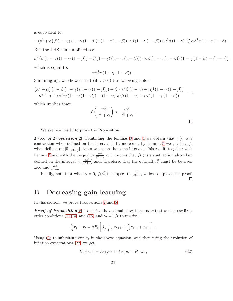is equivalent to:

$$
-\left(\kappa^2+\alpha\right)\beta\left(1-\gamma\right)\left(1-\gamma\left(1-\beta\right)\right)+\left(1-\gamma\left(1-\beta\right)\right)\left[\alpha\beta\left(1-\gamma\left(1-\beta\right)\right)+\kappa^2\beta\left(1-\gamma\right)\right]\geq\alpha\beta^2\gamma\left(1-\gamma\left(1-\beta\right)\right)
$$

But the LHS can simplified as:

$$
\kappa^2 (\beta (1 - \gamma) (1 - \gamma (1 - \beta)) - \beta (1 - \gamma) (1 - \gamma (1 - \beta))) + \alpha \beta (1 - \gamma (1 - \beta)) (1 - \gamma (1 - \beta) - (1 - \gamma))
$$

.

which is equal to:

$$
\alpha\beta^2\gamma\left(1-\gamma\left(1-\beta\right)\right) \ .
$$

Summing up, we showed that (if  $\gamma > 0$ ) the following holds:

$$
\frac{(\kappa^2 + \alpha)(1 - \beta(1 - \gamma)(1 - \gamma(1 - \beta))) + \beta\gamma[\kappa^2\beta(1 - \gamma) + \alpha\beta(1 - \gamma(1 - \beta))] }{\kappa^2 + \alpha + \alpha\beta^2\gamma(1 - \gamma(1 - \beta)) - (1 - \gamma)[\kappa^2\beta(1 - \gamma) + \alpha\beta(1 - \gamma(1 - \beta))] } = 1,
$$

which implies that:

$$
f\left(\frac{\alpha\beta}{\kappa^2+\alpha}\right) < \frac{\alpha\beta}{\kappa^2+\alpha}
$$

We are now ready to prove the Proposition.

**Proof of Proposition [1](#page-9-0).** Combining the lemmas [3](#page-25-0) and [4](#page-25-0) we obtain that  $f(\cdot)$  is a contraction when defined on the interval  $[0, 1]$ ; moreover, by Lemma [5](#page-25-0) we get that f, when defined on  $[0, \frac{\alpha\beta}{\kappa^2+\alpha}]$ , takes values on the same interval. This result, together with Lemma [4](#page-25-0) and with the inequality  $\frac{\alpha\beta}{\kappa^2+\alpha} < 1$ , implies that  $f(\cdot)$  is a contraction also when defined on the interval  $[0, \frac{\alpha\beta}{\kappa^2+\alpha}]$  and, therefore, that the optimal  $c_{\pi}^{cg}$  must be between zero and  $\frac{\alpha\beta}{\kappa^2+\alpha}$ .

Finally, note that when  $\gamma = 0$ ,  $f(c_{\pi}^{cg})$  collapses to  $\frac{\alpha\beta}{\kappa^2+\alpha}$ , which completes the proof. 口

#### B Decreasing gain learning

In this section, we prove Propositions [2](#page-19-0) and [5.](#page-19-0)

**Proof of Proposition [2](#page-19-0).** To derive the optimal allocations, note that we can use first-order conditions [\(11-14\)](#page-9-0) and [\(16\)](#page-9-0) and  $\gamma_t = 1/t$  to rewrite:

$$
\frac{\kappa}{\alpha}\pi_t + x_t = \beta E_t \left[ \beta \frac{1}{t+1} x_{t+1} + \frac{\kappa}{\alpha} \pi_{t+1} + x_{t+1} \right] .
$$

Using [\(3\)](#page-3-1) to substitute out  $x_t$  in the above equation, and then using the evolution of inflation expectations [\(22\)](#page-19-0) we get:

$$
E_t\left[\pi_{t+1}\right] = A_{11,t}\pi_t + A_{12,t}a_t + P_{1,t}u_t \tag{32}
$$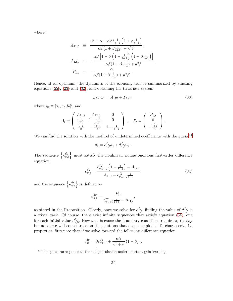where:

$$
A_{11,t} = \frac{\kappa^2 + \alpha + \alpha \beta^2 \frac{1}{t+1} \left( 1 + \beta \frac{1}{t+1} \right)}{\alpha \beta (1 + \beta \frac{1}{t+1}) + \kappa^2 \beta},
$$
  
\n
$$
A_{12,t} = -\frac{\alpha \beta \left[ 1 - \beta \left( 1 - \frac{1}{t+1} \right) \left( 1 + \beta \frac{1}{t+1} \right) \right]}{\alpha \beta (1 + \beta \frac{1}{t+1}) + \kappa^2 \beta},
$$
  
\n
$$
P_{1,t} = -\frac{\alpha}{\alpha \beta (1 + \beta \frac{1}{t+1}) + \kappa^2 \beta}.
$$

Hence, at an optimum, the dynamics of the economy can be summarized by stacking equations [\(22\)](#page-19-0), [\(23\)](#page-19-0) and [\(32\)](#page-25-0), and obtaining the trivariate system:

$$
E_t y_{t+1} = A_t y_t + P_t u_t , \t\t(33)
$$

where  $y_t \equiv [\pi_t, a_t, b_t]'$ , and

$$
A_t \equiv \begin{pmatrix} A_{11,t} & A_{12,t} & 0 \\ \frac{1}{t+1} & 1 - \frac{1}{t+1} & 0 \\ \frac{1}{t+1} & -\frac{\beta}{t+1} & 1 - \frac{1}{t+1} \end{pmatrix} , \quad P_t = \begin{pmatrix} P_{1,t} \\ 0 \\ -\frac{1}{t+1} \\ -\frac{1}{K} \end{pmatrix}.
$$

We can find the solution with the method of undetermined coefficients with the guess: $41$ 

$$
\pi_t = c_{\pi,t}^{dg} a_t + d_{\pi,t}^{dg} u_t.
$$

The sequence  $\left\{c_{\pi,t}^{dg}\right\}$  must satisfy the nonlinear, nonautonomous first-order difference equation:

$$
c_{\pi,t}^{dg} = \frac{c_{\pi,t+1}^{dg} \left(1 - \frac{1}{t+1}\right) - A_{12,t}}{A_{11,t} - c_{\pi,t+1}^{dg} \frac{1}{t+1}},\tag{34}
$$

and the sequence  $\left\{d_{\pi,t}^{dg}\right\}$  is defined as

$$
d_{\pi,t}^{dg} = \frac{P_{1,t}}{c_{\pi,t+1}^{dg} \frac{1}{t+1} - A_{11,t}},
$$

as stated in the Proposition. Clearly, once we solve for  $c_{\pi,t}^{dg}$ , finding the value of  $d_{\pi,t}^{dg}$  is a trivial task. Of course, there exist infinite sequences that satisfy equation [\(34\)](#page-25-0), one for each initial value  $c_{\pi,\theta}^{dg}$  $\pi_{\pi,0}^{ag}$ . However, because the boundary conditions require  $\pi_t$  to stay bounded, we will concentrate on the solutions that do not explode. To characterize its properties, first note that if we solve forward the following difference equation:

$$
c_{\pi t}^{dg} = \beta c_{\pi t+1}^{dg} + \frac{\alpha \beta}{\kappa^2 + \alpha} (1 - \beta) ,
$$

<span id="page-33-0"></span><sup>&</sup>lt;sup>41</sup>This guess corresponds to the unique solution under constant gain learning.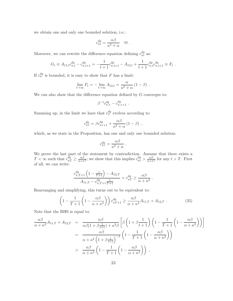we obtain one and only one bounded solution, i.e.:

$$
c_{\pi t}^{dg} = \frac{\alpha \beta}{\kappa^2 + \alpha} \quad \forall t .
$$

Moreover, we can rewrite the difference equation defining  $c_{\pi t}^{dg}$  as:

$$
G_t \equiv A_{11,t} c_{\pi,t}^{dg} - c_{\pi,t+1}^{dg} = -\frac{1}{t+1} c_{\pi,t+1}^{dg} - A_{12,t} + \frac{1}{t+1} c_{\pi,t}^{dg} c_{\pi,t+1}^{dg} \equiv F_t.
$$

If  $c_{\pi}^{dg}$  is bounded, it is easy to show that F has a limit:

$$
\lim_{t \to \infty} F_t = -\lim_{t \to \infty} A_{12,t} = \frac{\alpha}{\kappa^2 + \alpha} (1 - \beta) .
$$

We can also show that the difference equation defined by  $G$  converges to:

$$
\beta^{-1} c_{\pi,\tau}^{dg} - c_{\pi,\tau+1}^{dg} \ .
$$

Summing up, in the limit we have that  $c_{\pi}^{dg}$  evolves according to:

$$
c_{\pi\tau}^{dg} = \beta c_{\pi\tau+1}^{dg} + \frac{\alpha\beta}{\kappa^2 + \alpha} (1 - \beta) ,
$$

which, as we state in the Proposition, has one and only one bounded solution:

$$
c_{\pi\tau}^{dg} = \frac{\alpha\beta}{\kappa^2 + \alpha} \; .
$$

We prove the last part of the statement by contradiction. Assume that there exists a  $T < \infty$  such that  $c_{\pi T}^{dg} \ge \frac{\alpha \beta}{\alpha + \kappa^2}$ ; we show that this implies  $c_{\pi t}^{dg} > \frac{\alpha \beta}{\alpha + \kappa^2}$  for any  $t > T$ . First of all, we can write:

$$
\frac{c_{\pi,T+1}^{dg}\left(1-\frac{1}{T+1}\right)-A_{12,T}}{A_{11,T}-c_{\pi,T+1}^{dg}\frac{1}{T+1}}=c_{\pi T}^{dg}\geq \frac{\alpha\beta}{\alpha+\kappa^2}.
$$

Rearranging and simplifying, this turns out to be equivalent to:

$$
\left(1 - \frac{1}{T+1}\left(1 - \frac{\alpha\beta}{\alpha + \kappa^2}\right)\right)c_{\pi T+1}^{dg} \ge \frac{\alpha\beta}{\alpha + \kappa^2}A_{11,T} + A_{12,T}.
$$
 (35)

Note that the RHS is equal to:

$$
\frac{\alpha\beta}{\alpha+\kappa^2}A_{11,T} + A_{12,T} = \frac{\alpha\beta}{\alpha\beta(1+\beta\frac{1}{t+1}) + \kappa^2\beta} \left[\beta\left(1+\beta\frac{1}{t+1}\right)\left(1-\frac{1}{T+1}\left(1-\frac{\alpha\beta}{\alpha+\kappa^2}\right)\right)\right]
$$

$$
= \frac{\alpha\beta}{\alpha+\kappa^2\left(1+\beta\frac{1}{t+1}\right)^{-1}} \left(1-\frac{1}{T+1}\left(1-\frac{\alpha\beta}{\alpha+\kappa^2}\right)\right)
$$

$$
> \frac{\alpha\beta}{\alpha+\kappa^2} \left(1-\frac{1}{T+1}\left(1-\frac{\alpha\beta}{\alpha+\kappa^2}\right)\right),
$$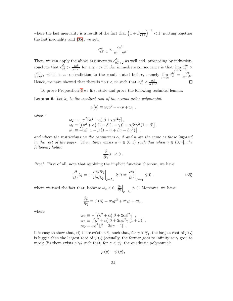where the last inequality is a result of the fact that  $\left(1+\beta \frac{1}{t+1}\right)^{-1} < 1$ ; putting together the last inequality and [\(35\)](#page-25-0), we get:

$$
c_{\pi T+1}^{dg} > \frac{\alpha \beta}{\alpha + \kappa^2} \; .
$$

Then, we can apply the above argument to  $c_{\pi T+2}^{dg}$  as well and, proceeding by induction, conclude that  $c_{\pi t}^{dg} > \frac{\alpha \beta}{\alpha + \kappa^2}$  for any  $t > T$ . An immediate consequence is that  $\lim_{t \to \infty} c_{\pi t}^{dg} >$  $\frac{\alpha\beta}{\alpha+\kappa^2}$ , which is a contradiction to the result stated before, namely  $\lim_{t\to\infty} c_{\pi t}^{dg} = \frac{\alpha\beta}{\alpha+\kappa^2}$ . Hence, we have showed that there is no  $t < \infty$  such that  $c_{\pi t}^{dg} \ge \frac{\alpha \beta}{\alpha + \kappa^2}$ . 口

To prove Proposition [4](#page-19-0) we first state and prove the following technical lemma:

**Lemma 6.** Let  $\lambda_1$  be the smallest root of the second-order polynomial:

$$
\rho(p) \equiv \omega_2 p^2 + \omega_1 p + \omega_0 ,
$$

where:

$$
\omega_2 \equiv -\gamma \left[ \left( \kappa^2 + \alpha \right) \beta + \alpha \beta^2 \gamma \right],
$$
  
\n
$$
\omega_1 \equiv \left[ \left( \kappa^2 + \alpha \right) \left( 1 - \beta \left( 1 - \gamma \right) \right) + \alpha \beta^2 \gamma^2 \left( 1 + \beta \right) \right]
$$
  
\n
$$
\omega_0 \equiv -\alpha \beta \left[ 1 - \beta \left( 1 - \gamma + \beta \gamma - \beta \gamma^2 \right) \right],
$$

and where the restrictions on the parameters  $\alpha$ ,  $\beta$  and  $\kappa$  are the same as those imposed in the rest of the paper. Then, there exists  $a \overline{\gamma} \in (0,1)$  such that when  $\gamma \in (0,\overline{\gamma}]$ , the following holds:

$$
\frac{\partial}{\partial \gamma} \lambda_1 < 0 \; .
$$

Proof. First of all, note that applying the implicit function theorem, we have:

$$
\frac{\partial}{\partial \gamma} \lambda_1 = -\frac{\partial \rho / \partial \gamma}{\partial \rho / \partial p} \bigg|_{p=\lambda_1} \geq 0 \Leftrightarrow \frac{\partial \rho}{\partial \gamma} \bigg|_{p=\lambda_1} \leq 0 , \qquad (36)
$$

,

where we used the fact that, because  $\omega_2 < 0$ ,  $\frac{\partial \rho}{\partial p}\Big|_{p=\lambda_1} > 0$ . Moreover, we have:

$$
\frac{\partial \rho}{\partial \gamma} \equiv \psi(p) = \varpi_2 p^2 + \varpi_1 p + \varpi_0 ,
$$

where

$$
\begin{aligned}\n\varpi_2 &\equiv -\left[ \left( \kappa^2 + \alpha \right) \beta + 2\alpha \beta^2 \gamma \right], \\
\varpi_1 &\equiv \left[ \left( \kappa^2 + \alpha \right) \beta + 2\alpha \beta^2 \gamma \left( 1 + \beta \right) \right], \\
\varpi_0 &\equiv \alpha \beta^2 \left[ \beta - 2\beta \gamma - 1 \right].\n\end{aligned}
$$

It is easy to show that, (i) there exists a  $\overline{\gamma}_1$  such that, for  $\gamma < \overline{\gamma}_1$ , the largest root of  $\rho(\cdot)$ is bigger than the largest root of  $\psi$  () (actually, the former goes to infinity as  $\gamma$  goes to zero); (ii) there exists a  $\overline{\gamma}_2$  such that, for  $\gamma < \overline{\gamma}_2$ , the quadratic polynomial:

$$
\rho\left(p\right)-\psi\left(p\right),
$$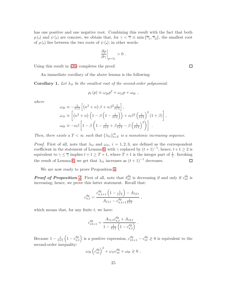has one positive and one negative root. Combining this result with the fact that both  $\rho(\cdot)$  and  $\psi(\cdot)$  are concave, we obtain that, for  $\gamma < \overline{\gamma} \equiv \min\{\overline{\gamma}_1, \overline{\gamma}_2\}$ , the smallest root of  $\rho(\centerdot)$  lies between the two roots of  $\psi(\centerdot);$  in other words:

$$
\left.\frac{\partial \rho}{\partial \gamma}\right|_{p=\lambda_1} > 0.
$$

Using this result in [\(36\)](#page-25-0) completes the proof.

An immediate corollary of the above lemma is the following:

Corollary 1. Let  $\lambda_{1t}$  be the smallest root of the second-order polynomial:

$$
\rho_t (p) \equiv \omega_{2t} p^2 + \omega_{1t} p + \omega_{0t} ,
$$

where

$$
\omega_{2t} \equiv -\frac{1}{t+1} \left[ \left( \kappa^2 + \alpha \right) \beta + \alpha \beta^2 \frac{1}{t+1} \right],
$$
  
\n
$$
\omega_{1t} \equiv \left[ \left( \kappa^2 + \alpha \right) \left( 1 - \beta \left( 1 - \frac{1}{t+1} \right) \right) + \alpha \beta^2 \left( \frac{1}{t+1} \right)^2 (1+\beta) \right],
$$
  
\n
$$
\omega_{0t} \equiv -\alpha \beta \left[ 1 - \beta \left( 1 - \frac{1}{t+1} + \beta \frac{1}{t+1} - \beta \left( \frac{1}{t+1} \right)^2 \right) \right].
$$

Then, there exists a  $T < \infty$  such that  $\{\lambda_{1t}\}_{t=1}^{\infty}$  $\sum\limits_{t = T}^\infty$  is a monotonic increasing sequence.

*Proof.* First of all, note that  $\lambda_{1t}$  and  $\omega_{it}$ ,  $i = 1, 2, 3$ , are defined as the correspondent coefficient in the statement of Lemma [6,](#page-25-0) with  $\gamma$  replaced by  $(t + 1)^{-1}$ ; hence,  $t + 1 \geq 2$  is equivalent to  $\gamma \leq \overline{\gamma}$  implies  $t+1 \geq T+1$ , where  $T+1$  is the integer part of  $\frac{1}{\gamma}$ . Invoking the result of Lemma [6,](#page-25-0) we get that  $\lambda_{1t}$  increases as  $(t+1)^{-1}$  decreases.  $\Box$ 

We are now ready to prove Proposition [4.](#page-19-0)

**Proof of Proposition [4](#page-19-0).** First of all, note that  $\delta_{\pi t}^{dg}$  is decreasing if and only if  $c_{\pi t}^{dg}$  is increasing; hence, we prove this latter statement. Recall that:

$$
c_{\pi,t}^{dg} = \frac{c_{\pi,t+1}^{dg}\left(1 - \frac{1}{t+1}\right) - A_{12,t}}{A_{11,t} - c_{\pi,t+1}^{dg}\frac{1}{t+1}},
$$

which means that, for any finite  $t$ , we have:

$$
c_{\pi t+1}^{dg} = \frac{A_{11,t}c_{\pi,t}^{dg} + A_{12,t}}{1 - \frac{1}{t+1}\left(1 - c_{\pi,t}^{dg}\right)}.
$$

Because  $1 - \frac{1}{t+1} \left(1 - c_{\pi,t}^{dg}\right)$  is a positive expression,  $c_{\pi t+1}^{dg} - c_{\pi t}^{dg} \geq 0$  is equivalent to the second-order inequality:

$$
\omega_{2t} \left( c_{\pi t}^{dg} \right)^2 + \omega_{1t} c_{\pi t}^{dg} + \omega_{0t} \geq 0 ,
$$

 $\Box$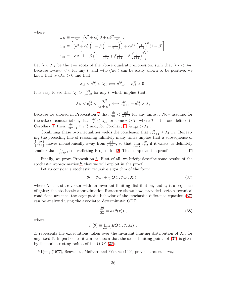where

$$
\omega_{2t} \equiv -\frac{1}{t+1} \left[ \left( \kappa^2 + \alpha \right) \beta + \alpha \beta^2 \frac{1}{t+1} \right],
$$
  
\n
$$
\omega_{1t} \equiv \left[ \left( \kappa^2 + \alpha \right) \left( 1 - \beta \left( 1 - \frac{1}{t+1} \right) \right) + \alpha \beta^2 \left( \frac{1}{t+1} \right)^2 (1+\beta) \right],
$$
  
\n
$$
\omega_{0t} \equiv -\alpha \beta \left[ 1 - \beta \left( 1 - \frac{1}{t+1} + \beta \frac{1}{t+1} - \beta \left( \frac{1}{t+1} \right)^2 \right) \right].
$$

Let  $\lambda_{1t}$ ,  $\lambda_{2t}$  be the two roots of the above quadratic expression, such that  $\lambda_{1t} < \lambda_{2t}$ ; because  $\omega_{2t}, \omega_{0t} < 0$  for any t, and  $-(\omega_{1t}/\omega_{2t})$  can be easily shown to be positive, we know that  $\lambda_{1t}, \lambda_{2t} > 0$  and that:

$$
\lambda_{1t} < c_{\pi t}^{dg} < \lambda_{2t} \Longleftrightarrow c_{\pi t+1}^{dg} - c_{\pi t}^{dg} > 0 \; .
$$

It is easy to see that  $\lambda_{2t} > \frac{\alpha\beta}{\alpha + \kappa^2}$  for any t, which implies that:

$$
\lambda_{1t} < c_{\pi t}^{dg} < \frac{\alpha \beta}{\alpha + \kappa^2} \Longleftrightarrow c_{\pi t+1}^{dg} - c_{\pi t}^{dg} > 0 \;,
$$

because we showed in Proposition [2](#page-19-0) that  $c_{\pi t}^{dg} < \frac{\alpha \beta}{\alpha + \kappa^2}$  for any finite t. Now assume, for the sake of contradiction, that  $c_{\pi t}^{dg} \leq \lambda_{1t}$  for some  $\tau \geq T$ , where T is the one defined in Corollary [1;](#page-25-0) then,  $c_{\pi\tau+1}^{dg} \leq c_{\pi\tau}^{dg}$  and, for Corollary [1,](#page-25-0)  $\lambda_{1\tau+1} > \lambda_{1\tau}$ .

Combining these two inequalities yields the conclusion that  $c_{\pi\tau+1}^{dg} \leq \lambda_{1\tau+1}$ . Repeating the preceding line of reasoning infinitely many times imp lies that a subsequence of  $\left\{c_{\pi t}^{dg}\right\}$  moves monotonically away from  $\frac{\alpha\beta}{\alpha+\kappa^2}$ , so that  $\lim_{t\to\infty}c_{\pi t}^{dg}$ , if it exists, is definitely smaller than  $\frac{\alpha\beta}{\alpha+\kappa^2}$ , contradicting Proposition [2.](#page-19-0) This completes the proof.  $\Box$ 

Finally, we prove Proposition [5.](#page-19-0) First of all, we briefly describe some results of the stochastic approximation<sup>[42](#page-37-0)</sup> that we will exploit in the proof.

Let us consider a stochastic recursive algorithm of the form:

$$
\theta_t = \theta_{t-1} + \gamma_t Q(t, \theta_{t-1}, X_t) \tag{37}
$$

where  $X_t$  is a state vector with an invariant limiting distribution, and  $\gamma_t$  is a sequence of gains; the stochastic approximation literature shows how, provided certain technical conditions are met, the asymptotic behavior of the stochastic difference equation [\(37\)](#page-25-0) can be analyzed using the associated deterministic ODE:

$$
\frac{d\theta}{d\tau} = h(\theta(\tau)) \quad , \tag{38}
$$

where

$$
h(\theta) \equiv \lim_{t \to \infty} EQ(t, \theta, X_t) .
$$

 $E$  represents the expectations taken over the invariant limiting distribution of  $X_t$ , for any fixed  $\theta$ . In particular, it can be shown that the set of limiting points of [\(37\)](#page-25-0) is given by the stable resting points of the ODE [\(38\)](#page-25-0).

<span id="page-37-0"></span> $^{42}$ Ljung (1977), Benveniste, Métivier, and Priouret (1990) provide a recent survey.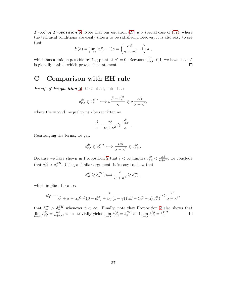**Proof of Proposition [5](#page-19-0).** Note that our equation  $(27)$  is a special case of  $(37)$ , where the technical conditions are easily shown to be satisfied; moreover, it is also easy to see that:

$$
h(a) = \lim_{t \to \infty} (c_{\pi,t}^{dg} - 1)a = \left(\frac{\alpha \beta}{\alpha + \kappa^2} - 1\right) a,
$$

which has a unique possible resting point at  $a^* = 0$ . Because  $\frac{\alpha\beta}{\alpha + \kappa^2} < 1$ , we have that  $a^*$ is globally stable, which proves the statement.

#### C Comparison with EH rule

Proof of Proposition [3](#page-19-0). First of all, note that:

$$
\delta_{\pi,t}^{dg} \geqslant \delta_{\pi}^{EH} \Longleftrightarrow \sigma \frac{\beta - c_{\pi,t}^{dg}}{\kappa} \geqslant \sigma \frac{\kappa \beta}{\alpha + \kappa^2},
$$

where the second inequality can be rewritten as

$$
\frac{\beta}{\kappa}-\frac{\kappa\beta}{\alpha+\kappa^2}\gtrless \frac{c_{\pi,t}^{dg}}{\kappa}
$$

.

Rearranging the terms, we get:

$$
\delta_{\pi,t}^{dg} \gtrless \delta_{\pi}^{EH} \Longleftrightarrow \frac{\alpha\beta}{\alpha + \kappa^2} \gtrless c_{\pi,t}^{dg}.
$$

Because we have shown in Proposition [2](#page-19-0) that  $t < \infty$  implies  $c_{\pi,t}^{dg} < \frac{\alpha\beta}{\alpha+\kappa^2}$ , we conclude that  $\delta_{\pi t}^{dg} > \delta_{\pi}^{EH}$ . Using a similar argument, it is easy to show that:

$$
\delta_{ut}^{dg} \geqslant \delta_u^{EH} \Longleftrightarrow \frac{\alpha}{\alpha + \kappa^2} \geqslant d_{\pi,t}^{dg} ,
$$

which implies, because:

$$
d_{\pi}^{cg} = \frac{\alpha}{\kappa^2 + \alpha + \alpha\beta^2\gamma^2(\beta - c_{\pi}^{cg}) + \beta\gamma(1-\gamma)(\alpha\beta - (\kappa^2 + \alpha)c_{\pi}^{cg})} < \frac{\alpha}{\alpha + \kappa^2},
$$

that  $\delta_{ut}^{dg} > \delta_{u}^{EH}$  whenever  $t < \infty$ . Finally, note that Proposition [2](#page-19-0) also shows that  $\lim_{t \to \infty} c_{\pi,t}^{dg} = \frac{\alpha \beta}{\alpha + \kappa^2}$ , which trivially yields  $\lim_{t \to \infty} \delta_{\pi,t}^{dg} = \delta_{\pi}^{EH}$  and  $\lim_{t \to \infty} \delta_{ut}^{dg} = \delta_{u}^{EH}$ .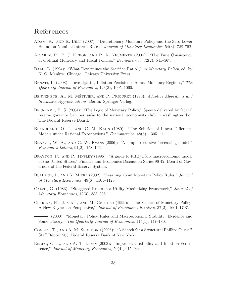#### References

- Adam, K., and R. Billi (2007): "Discretionary Monetary Policy and the Zero Lower Bound on Nominal Interest Rates," Journal of Monetary Economics, 54(3), 728–752.
- Alvarez, F., P. J. Kehoe, and P. A. Neumeyer (2004): "The Time Consistency of Optimal Monetary and Fiscal Policies," Econometrica, 72(2), 541–567.
- BALL, L. (1994): "What Determines the Sacrifice Ratio?," in Monetary Policy, ed. by N. G. Mankiw. Chicago: Chicago University Press.
- Benati, L. (2008): "Investigating Inflation Persistence Across Monetary Regimes," The Quarterly Journal of Economics, 123(3), 1005–1060.
- BENVENISTE, A., M. MÉTIVIER, AND P. PRIOURET (1990): Adaptive Algorithms and Stochastic Approximations. Berlin: Springer-Verlag.
- Bernanke, B. S. (2004): "The Logic of Monetary Policy," Speech delivered by federal reserve governor ben bernanke to the national economists club in washington d.c., The Federal Reserve Board.
- BLANCHARD, O. J., AND C. M. KAHN (1980): "The Solution of Linear Difference Models under Rational Expectations," Econometrica, 48(5), 1305–11.
- BRANCH, W. A., AND G. W. EVANS (2006): "A simple recursive forecasting model," Economics Letters, 91(2), 158–166.
- Brayton, F., and P. Tinsley (1996): "A guide to FRB/US: a macroeconomic model of the United States," Finance and Economics Discussion Series 96-42, Board of Governors of the Federal Reserve System.
- BULLARD, J., AND K. MITRA (2002): "Learning about Monetary Policy Rules," Journal of Monetary Economics, 49(6), 1105–1129.
- Calvo, G. (1983): "Staggered Prices in a Utility Maximizing Framework," Journal of Monetary Economics, 12(3), 383–398.
- Clarida, R., J. Gali, and M. Gertler (1999): "The Science of Monetary Policy: A New Keynesian Perspective," Journal of Economic Literature, 37(2), 1661–1707.

- COGLEY, T., AND A. M. SBORDONE (2005): "A Search for a Structural Phillips Curve," Staff Report 203, Federal Reserve Bank of New York.
- ERCEG, C. J., AND A. T. LEVIN (2003): "Imperfect Credibility and Inflation Persistence," Journal of Monetary Economics, 50(4), 915–944.

<sup>(2000): &</sup>quot;Monetary Policy Rules and Macroeconomic Stability: Evidence and Some Theory," The Quarterly Journal of Economics, 115(1), 147–180.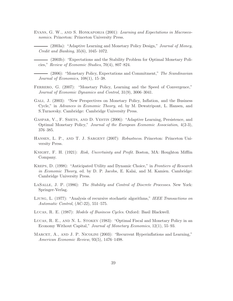- EVANS, G. W., AND S. HONKAPOHJA (2001): Learning and Expectations in Macroeconomics. Princeton: Princeton University Press.
	- (2003a): "Adaptive Learning and Monetary Policy Design," Journal of Money, Credit and Banking, 35(6), 1045–1072.
	- (2003b): "Expectations and the Stability Problem for Optimal Monetary Policies," Review of Economic Studies, 70(4), 807–824.
	- (2006): "Monetary Policy, Expectations and Commitment," The Scandinavian Journal of Economics, 108(1), 15–38.
- FERRERO, G. (2007): "Monetary Policy, Learning and the Speed of Convergence," Journal of Economic Dynamics and Control, 31(9), 3006–3041.
- GALI, J. (2003): "New Perspectives on Monetary Policy, Inflation, and the Business Cycle," in Advances in Economic Theory, ed. by M. Dewatripont, L. Hansen, and S.Turnovsky. Cambridge: Cambridge University Press.
- GASPAR, V., F. SMETS, AND D. VESTIN (2006): "Adaptive Learning, Persistence, and Optimal Monetary Policy," Journal of the European Economic Association, 4(2-3), 376–385.
- Hansen, L. P., and T. J. Sargent (2007): Robustness. Princeton: Princeton University Press.
- Knight, F. H. (1921): Risk, Uncertainty and Profit. Boston, MA: Houghton Mifflin Company.
- Kreps, D. (1998): "Anticipated Utility and Dynamic Choice," in Frontiers of Research in Economic Theory, ed. by D. P. Jacobs, E. Kalai, and M. Kamien. Cambridge: Cambridge University Press.
- LaSalle, J. P. (1986): The Stability and Control of Discrete Processes. New York: Springer-Verlag.
- Ljung, L. (1977): "Analysis of recursive stochastic algorithms," IEEE Transactions on Automatic Control, (AC-22), 551–575.
- Lucas, R. E. (1987): Models of Business Cycles. Oxford: Basil Blackwell.
- Lucas, R. E., and N. L. Stokey (1983): "Optimal Fiscal and Monetary Policy in an Economy Without Capital," Journal of Monetary Economics, 12(1), 55–93.
- MARCET, A., AND J. P. NICOLINI (2003): "Recurrent Hyperinflations and Learning," American Economic Review, 93(5), 1476–1498.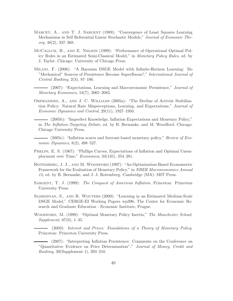- MARCET, A., AND T. J. SARGENT (1989): "Convergence of Least Squares Learning Mechanisms in Self Referential Linear Stochastic Models," Journal of Economic The $ory, 48(2), 337-368.$
- McCallum, B., and E. Nelson (1999): "Performance of Operational Optimal Policy Rules in an Estimated Semi-Classical Model," in Monetary Policy Rules, ed. by J. Taylor. Chicago: University of Chicago Press.
- Milani, F. (2006): "A Bayesian DSGE Model with Infinite-Horizon Learning: Do "Mechanical" Sources of Persistence Become Superfluous?," International Journal of Central Banking, 2(3), 87–106.
	- (2007): "Expectations, Learning and Macroeconomic Persistence," Journal of Monetary Economics, 54(7), 2065–2082.
- Orphanides, A., and J. C. Williams (2005a): "The Decline of Activist Stabilization Policy: Natural Rate Misperceptions, Learning, and Expectations," Journal of Economic Dynamics and Control, 29(11), 1927–1950.
- (2005b): "Imperfect Knowledge, Inflation Expectations and Monetary Policy," in The Inflation-Targeting Debate, ed. by B. Bernanke, and M. Woodford. Chicago: Chicago University Press.
- (2005c): "Inflation scares and forecast-based monetary policy," Review of Economic Dynamics, 8(2), 498–527.
- PHELPS, E. S. (1967): "Phillips Curves, Expectations of Inflation and Optimal Unemployment over Time," Economica, 34(135), 254–281.
- ROTEMBERG, J. J., AND M. WOODFORD (1997): "An Optimization-Based Econometric Framework for the Evaluation of Monetary Policy," in NBER Macroeconomics Annual 12, ed. by B. Bernanke, and J. J. Rotemberg. Cambridge (MA): MIT Press.
- SARGENT, T. J. (1999): The Conquest of American Inflation. Princeton: Princeton University Press.
- Slobodyan, S., and R. Wouters (2009): "Learning in an Estimated Medium-Scale DSGE Model," CERGE-EI Working Papers wp396, The Center for Economic Research and Graduate Education - Economic Institute, Prague.
- WOODFORD, M. (1999): "Optimal Monetary Policy Inertia," The Manchester School, Supplement, 67(0), 1–35.
	- (2003): Interest and Prices: Foundations of a Theory of Monetary Policy. Princeton: Princeton University Press.
	- (2007): "Interpreting Inflation Persistence: Comments on the Conference on "Quantitative Evidence on Price Determination"," Journal of Money, Credit and Banking, 39(Supplement 1), 203–210.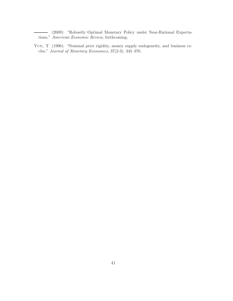(2009): "Robustly Optimal Monetary Policy under Near-Rational Expectations," American Economic Review, forthcoming.

Yun, T. (1996): "Nominal price rigidity, money supply endogeneity, and business cycles," Journal of Monetary Economics, 37(2-3), 345–370.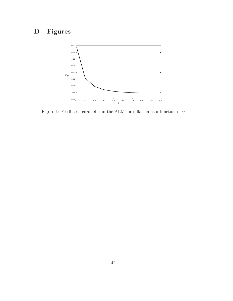## D Figures



<span id="page-43-0"></span>Figure 1: Feedback parameter in the ALM for inflation as a function of  $\gamma$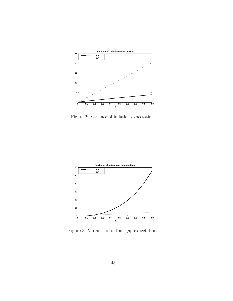

<span id="page-44-0"></span>Figure 2: Variance of inflation expectations



Figure 3: Variance of output gap expectations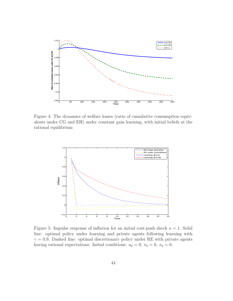

<span id="page-45-0"></span>Figure 4: The dynamics of welfare losses (ratio of cumulative consumption equivalents under CG and EH) under constant gain learning, with initial beliefs at the rational equilibrium



<span id="page-45-1"></span>Figure 5: Impulse response of inflation for an initial cost-push shock  $u = 1$ . Solid line: optimal policy under learning and private agents following learning with  $\gamma = 0.9$ . Dashed line: optimal discretionary policy under RE with private agents having rational expectations. Initial conditions:  $a_0 = 0$ ,  $\pi_0 = 0$ ,  $x_0 = 0$ .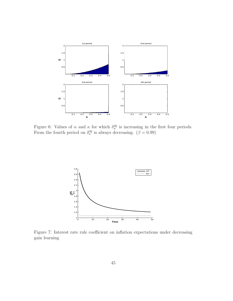

<span id="page-46-0"></span>Figure 6: Values of  $\alpha$  and  $\kappa$  for which  $\delta_{\pi}^{dg}$  is increasing in the first four periods. From the fourth period on  $\delta_{\pi}^{dg}$  is always decreasing. ( $\beta = 0.99$ )



<span id="page-46-1"></span>Figure 7: Interest rate rule coefficient on inflation expectations under decreasing gain learning